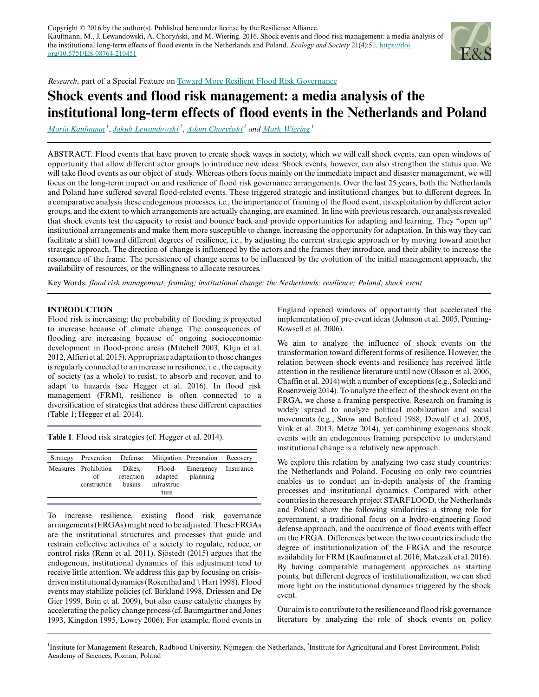

*Research*, part of a Special Feature on [Toward More Resilient Flood Risk Governance](http://www.ecologyandsociety.org/viewissue.php?sf=115)

# **Shock events and flood risk management: a media analysis of the institutional long-term effects of flood events in the Netherlands and Poland**

*[Maria Kaufmann](mailto:m.kaufmann@fm.ru.nl)<sup>1</sup>* , *[Jakub Lewandowski](mailto:jakub.lewandowski22@gmail.com)<sup>2</sup>* , *[Adam Chory](mailto:adam@swarzedz.net.pl)*[ń](mailto:adam@swarzedz.net.pl)*[ski](mailto:adam@swarzedz.net.pl)<sup>2</sup> and [Mark Wiering](mailto:m.wiering@fm.ru.nl)<sup>1</sup>*

ABSTRACT. Flood events that have proven to create shock waves in society, which we will call shock events, can open windows of opportunity that allow different actor groups to introduce new ideas. Shock events, however, can also strengthen the status quo. We will take flood events as our object of study. Whereas others focus mainly on the immediate impact and disaster management, we will focus on the long-term impact on and resilience of flood risk governance arrangements. Over the last 25 years, both the Netherlands and Poland have suffered several flood-related events. These triggered strategic and institutional changes, but to different degrees. In a comparative analysis these endogenous processes, i.e., the importance of framing of the flood event, its exploitation by different actor groups, and the extent to which arrangements are actually changing, are examined. In line with previous research, our analysis revealed that shock events test the capacity to resist and bounce back and provide opportunities for adapting and learning. They "open up" institutional arrangements and make them more susceptible to change, increasing the opportunity for adaptation. In this way they can facilitate a shift toward different degrees of resilience, i.e., by adjusting the current strategic approach or by moving toward another strategic approach. The direction of change is influenced by the actors and the frames they introduce, and their ability to increase the resonance of the frame. The persistence of change seems to be influenced by the evolution of the initial management approach, the availability of resources, or the willingness to allocate resources.

Key Words: *flood risk management; framing; institutional change; the Netherlands; resilience; Poland; shock event*

# **INTRODUCTION**

Flood risk is increasing; the probability of flooding is projected to increase because of climate change. The consequences of flooding are increasing because of ongoing socioeconomic development in flood-prone areas (Mitchell 2003, Klijn et al. 2012, Alfieri et al. 2015). Appropriate adaptation to those changes is regularly connected to an increase in resilience, i.e., the capacity of society (as a whole) to resist, to absorb and recover, and to adapt to hazards (see Hegger et al. 2016). In flood risk management (FRM), resilience is often connected to a diversification of strategies that address these different capacities (Table 1; Hegger et al. 2014).

**Table 1**. Flood risk strategies (cf. Hegger et al. 2014).

|                                                   |                            |                                | Strategy Prevention Defense Mitigation Preparation Recovery |           |
|---------------------------------------------------|----------------------------|--------------------------------|-------------------------------------------------------------|-----------|
| Measures Prohibition Dikes.<br>of<br>construction | retention<br><b>basins</b> | adapted<br>infrastruc-<br>ture | Flood- Emergency<br>planning                                | Insurance |

To increase resilience, existing flood risk governance arrangements (FRGAs) might need to be adjusted. These FRGAs are the institutional structures and processes that guide and restrain collective activities of a society to regulate, reduce, or control risks (Renn et al. 2011). Sjöstedt (2015) argues that the endogenous, institutional dynamics of this adjustment tend to receive little attention. We address this gap by focusing on crisisdriven institutional dynamics (Rosenthal and 't Hart 1998). Flood events may stabilize policies (cf. Birkland 1998, Driessen and De Gier 1999, Boin et al. 2009), but also cause catalytic changes by accelerating the policy change process (cf. Baumgartner and Jones 1993, Kingdon 1995, Lowry 2006). For example, flood events in

England opened windows of opportunity that accelerated the implementation of pre-event ideas (Johnson et al. 2005, Penning-Rowsell et al. 2006).

We aim to analyze the influence of shock events on the transformation toward different forms of resilience. However, the relation between shock events and resilience has received little attention in the resilience literature until now (Olsson et al. 2006, Chaffin et al. 2014) with a number of exceptions (e.g., Solecki and Rosenzweig 2014). To analyze the effect of the shock event on the FRGA, we chose a framing perspective. Research on framing is widely spread to analyze political mobilization and social movements (e.g., Snow and Benford 1988, Dewulf et al. 2005, Vink et al. 2013, Metze 2014), yet combining exogenous shock events with an endogenous framing perspective to understand institutional change is a relatively new approach.

We explore this relation by analyzing two case study countries: the Netherlands and Poland. Focusing on only two countries enables us to conduct an in-depth analysis of the framing processes and institutional dynamics. Compared with other countries in the research project STARFLOOD, the Netherlands and Poland show the following similarities: a strong role for government, a traditional focus on a hydro-engineering flood defense approach, and the occurrence of flood events with effect on the FRGA. Differences between the two countries include the degree of institutionalization of the FRGA and the resource availability for FRM (Kaufmann et al. 2016, Matczak et al. 2016). By having comparable management approaches as starting points, but different degrees of institutionalization, we can shed more light on the institutional dynamics triggered by the shock event.

Our aim is to contribute to the resilience and flood risk governance literature by analyzing the role of shock events on policy

<sup>1</sup>Institute for Management Research, Radboud University, Nijmegen, the Netherlands, <sup>2</sup>Institute for Agricultural and Forest Environment, Polish Academy of Sciences, Poznan, Poland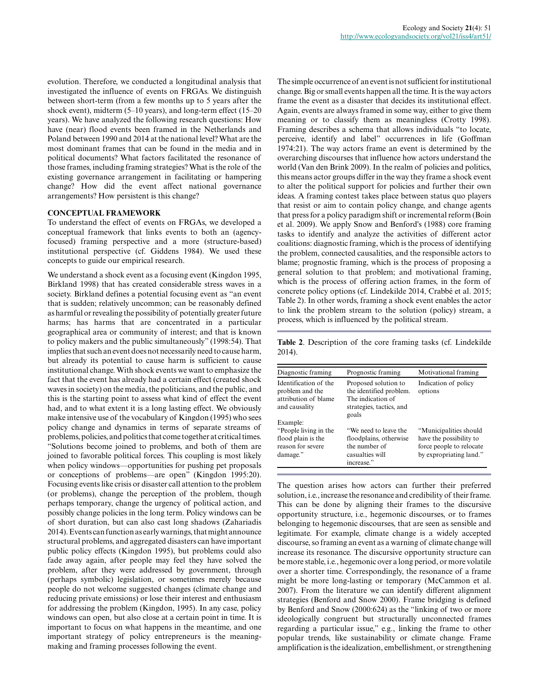evolution. Therefore, we conducted a longitudinal analysis that investigated the influence of events on FRGAs. We distinguish between short-term (from a few months up to 5 years after the shock event), midterm (5–10 years), and long-term effect (15–20 years). We have analyzed the following research questions: How have (near) flood events been framed in the Netherlands and Poland between 1990 and 2014 at the national level? What are the most dominant frames that can be found in the media and in political documents? What factors facilitated the resonance of those frames, including framing strategies? What is the role of the existing governance arrangement in facilitating or hampering change? How did the event affect national governance arrangements? How persistent is this change?

## **CONCEPTUAL FRAMEWORK**

To understand the effect of events on FRGAs, we developed a conceptual framework that links events to both an (agencyfocused) framing perspective and a more (structure-based) institutional perspective (cf. Giddens 1984). We used these concepts to guide our empirical research.

We understand a shock event as a focusing event (Kingdon 1995, Birkland 1998) that has created considerable stress waves in a society. Birkland defines a potential focusing event as "an event that is sudden; relatively uncommon; can be reasonably defined as harmful or revealing the possibility of potentially greater future harms; has harms that are concentrated in a particular geographical area or community of interest; and that is known to policy makers and the public simultaneously" (1998:54). That implies that such an event does not necessarily need to cause harm, but already its potential to cause harm is sufficient to cause institutional change. With shock events we want to emphasize the fact that the event has already had a certain effect (created shock waves in society) on the media, the politicians, and the public, and this is the starting point to assess what kind of effect the event had, and to what extent it is a long lasting effect. We obviously make intensive use of the vocabulary of Kingdon (1995) who sees policy change and dynamics in terms of separate streams of problems, policies, and politics that come together at critical times. "Solutions become joined to problems, and both of them are joined to favorable political forces. This coupling is most likely when policy windows—opportunities for pushing pet proposals or conceptions of problems—are open" (Kingdon 1995:20). Focusing events like crisis or disaster call attention to the problem (or problems), change the perception of the problem, though perhaps temporary, change the urgency of political action, and possibly change policies in the long term. Policy windows can be of short duration, but can also cast long shadows (Zahariadis 2014). Events can function as early warnings, that might announce structural problems, and aggregated disasters can have important public policy effects (Kingdon 1995), but problems could also fade away again, after people may feel they have solved the problem, after they were addressed by government, through (perhaps symbolic) legislation, or sometimes merely because people do not welcome suggested changes (climate change and reducing private emissions) or lose their interest and enthusiasm for addressing the problem (Kingdon, 1995). In any case, policy windows can open, but also close at a certain point in time. It is important to focus on what happens in the meantime, and one important strategy of policy entrepreneurs is the meaningmaking and framing processes following the event.

The simple occurrence of an event is not sufficient for institutional change. Big or small events happen all the time. It is the way actors frame the event as a disaster that decides its institutional effect. Again, events are always framed in some way, either to give them meaning or to classify them as meaningless (Crotty 1998). Framing describes a schema that allows individuals "to locate, perceive, identify and label" occurrences in life (Goffman 1974:21). The way actors frame an event is determined by the overarching discourses that influence how actors understand the world (Van den Brink 2009). In the realm of policies and politics, this means actor groups differ in the way they frame a shock event to alter the political support for policies and further their own ideas. A framing contest takes place between status quo players that resist or aim to contain policy change, and change agents that press for a policy paradigm shift or incremental reform (Boin et al. 2009). We apply Snow and Benford's (1988) core framing tasks to identify and analyze the activities of different actor coalitions: diagnostic framing, which is the process of identifying the problem, connected causalities, and the responsible actors to blame; prognostic framing, which is the process of proposing a general solution to that problem; and motivational framing, which is the process of offering action frames, in the form of concrete policy options (cf. Lindekilde 2014, Crabbé et al. 2015; Table 2). In other words, framing a shock event enables the actor to link the problem stream to the solution (policy) stream, a process, which is influenced by the political stream.

**Table 2**. Description of the core framing tasks (cf. Lindekilde 2014).

| Diagnostic framing                                                                       | Prognostic framing                                                                                        | Motivational framing<br>Indication of policy<br>options                                                  |  |  |
|------------------------------------------------------------------------------------------|-----------------------------------------------------------------------------------------------------------|----------------------------------------------------------------------------------------------------------|--|--|
| Identification of the<br>problem and the<br>attribution of blame<br>and causality        | Proposed solution to<br>the identified problem.<br>The indication of<br>strategies, tactics, and<br>goals |                                                                                                          |  |  |
| Example:<br>"People living in the<br>flood plain is the<br>reason for severe<br>damage." | "We need to leave the<br>floodplains, otherwise<br>the number of<br>casualties will<br>increase."         | "Municipalities should<br>have the possibility to<br>force people to relocate<br>by expropriating land." |  |  |

The question arises how actors can further their preferred solution, i.e., increase the resonance and credibility of their frame. This can be done by aligning their frames to the discursive opportunity structure, i.e., hegemonic discourses, or to frames belonging to hegemonic discourses, that are seen as sensible and legitimate. For example, climate change is a widely accepted discourse, so framing an event as a warning of climate change will increase its resonance. The discursive opportunity structure can be more stable, i.e., hegemonic over a long period, or more volatile over a shorter time. Correspondingly, the resonance of a frame might be more long-lasting or temporary (McCammon et al. 2007). From the literature we can identify different alignment strategies (Benford and Snow 2000). Frame bridging is defined by Benford and Snow (2000:624) as the "linking of two or more ideologically congruent but structurally unconnected frames regarding a particular issue," e.g., linking the frame to other popular trends, like sustainability or climate change. Frame amplification is the idealization, embellishment, or strengthening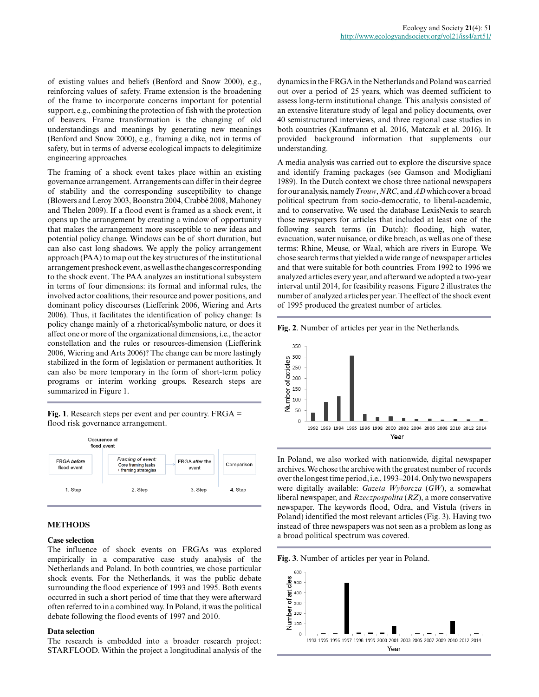of existing values and beliefs (Benford and Snow 2000), e.g., reinforcing values of safety. Frame extension is the broadening of the frame to incorporate concerns important for potential support, e.g., combining the protection of fish with the protection of beavers. Frame transformation is the changing of old understandings and meanings by generating new meanings (Benford and Snow 2000), e.g., framing a dike, not in terms of safety, but in terms of adverse ecological impacts to delegitimize engineering approaches.

The framing of a shock event takes place within an existing governance arrangement. Arrangements can differ in their degree of stability and the corresponding susceptibility to change (Blowers and Leroy 2003, Boonstra 2004, Crabbé 2008, Mahoney and Thelen 2009). If a flood event is framed as a shock event, it opens up the arrangement by creating a window of opportunity that makes the arrangement more susceptible to new ideas and potential policy change. Windows can be of short duration, but can also cast long shadows. We apply the policy arrangement approach (PAA) to map out the key structures of the institutional arrangement preshock event, as well as the changes corresponding to the shock event. The PAA analyzes an institutional subsystem in terms of four dimensions: its formal and informal rules, the involved actor coalitions, their resource and power positions, and dominant policy discourses (Liefferink 2006, Wiering and Arts 2006). Thus, it facilitates the identification of policy change: Is policy change mainly of a rhetorical/symbolic nature, or does it affect one or more of the organizational dimensions, i.e., the actor constellation and the rules or resources-dimension (Liefferink 2006, Wiering and Arts 2006)? The change can be more lastingly stabilized in the form of legislation or permanent authorities. It can also be more temporary in the form of short-term policy programs or interim working groups. Research steps are summarized in Figure 1.

**Fig. 1**. Research steps per event and per country. FRGA = flood risk governance arrangement.



# **METHODS**

#### **Case selection**

The influence of shock events on FRGAs was explored empirically in a comparative case study analysis of the Netherlands and Poland. In both countries, we chose particular shock events. For the Netherlands, it was the public debate surrounding the flood experience of 1993 and 1995. Both events occurred in such a short period of time that they were afterward often referred to in a combined way. In Poland, it was the political debate following the flood events of 1997 and 2010.

#### **Data selection**

The research is embedded into a broader research project: STARFLOOD. Within the project a longitudinal analysis of the dynamics in the FRGA in the Netherlands and Poland was carried out over a period of 25 years, which was deemed sufficient to assess long-term institutional change. This analysis consisted of an extensive literature study of legal and policy documents, over 40 semistructured interviews, and three regional case studies in both countries (Kaufmann et al. 2016, Matczak et al. 2016). It provided background information that supplements our understanding.

A media analysis was carried out to explore the discursive space and identify framing packages (see Gamson and Modigliani 1989). In the Dutch context we chose three national newspapers for our analysis, namely *Trouw*, *NRC*, and *AD* which cover a broad political spectrum from socio-democratic, to liberal-academic, and to conservative. We used the database LexisNexis to search those newspapers for articles that included at least one of the following search terms (in Dutch): flooding, high water, evacuation, water nuisance, or dike breach, as well as one of these terms: Rhine, Meuse, or Waal, which are rivers in Europe. We chose search terms that yielded a wide range of newspaper articles and that were suitable for both countries. From 1992 to 1996 we analyzed articles every year, and afterward we adopted a two-year interval until 2014, for feasibility reasons. Figure 2 illustrates the number of analyzed articles per year. The effect of the shock event of 1995 produced the greatest number of articles.





In Poland, we also worked with nationwide, digital newspaper archives. We chose the archive with the greatest number of records over the longest time period, i.e., 1993–2014. Only two newspapers were digitally available: *Gazeta Wyborcza* (*GW*), a somewhat liberal newspaper, and *Rzeczpospolita* (*RZ*), a more conservative newspaper. The keywords flood, Odra, and Vistula (rivers in Poland) identified the most relevant articles (Fig. 3). Having two instead of three newspapers was not seen as a problem as long as a broad political spectrum was covered.

**Fig. 3**. Number of articles per year in Poland.

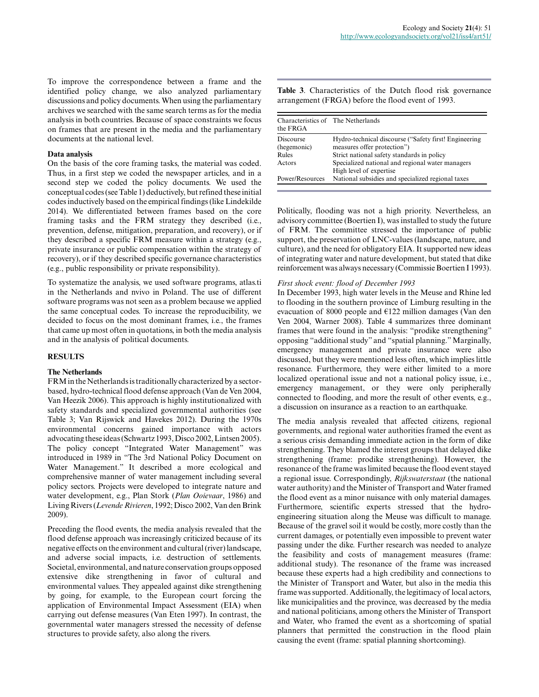To improve the correspondence between a frame and the identified policy change, we also analyzed parliamentary discussions and policy documents. When using the parliamentary archives we searched with the same search terms as for the media analysis in both countries. Because of space constraints we focus on frames that are present in the media and the parliamentary documents at the national level.

## **Data analysis**

On the basis of the core framing tasks, the material was coded. Thus, in a first step we coded the newspaper articles, and in a second step we coded the policy documents. We used the conceptual codes (see Table 1) deductively, but refined these initial codes inductively based on the empirical findings (like Lindekilde 2014). We differentiated between frames based on the core framing tasks and the FRM strategy they described (i.e., prevention, defense, mitigation, preparation, and recovery), or if they described a specific FRM measure within a strategy (e.g., private insurance or public compensation within the strategy of recovery), or if they described specific governance characteristics (e.g., public responsibility or private responsibility).

To systematize the analysis, we used software programs, atlas.ti in the Netherlands and nvivo in Poland. The use of different software programs was not seen as a problem because we applied the same conceptual codes. To increase the reproducibility, we decided to focus on the most dominant frames, i.e., the frames that came up most often in quotations, in both the media analysis and in the analysis of political documents.

# **RESULTS**

## **The Netherlands**

FRM in the Netherlands is traditionally characterized by a sectorbased, hydro-technical flood defense approach (Van de Ven 2004, Van Heezik 2006). This approach is highly institutionalized with safety standards and specialized governmental authorities (see Table 3; Van Rijswick and Havekes 2012). During the 1970s environmental concerns gained importance with actors advocating these ideas (Schwartz 1993, Disco 2002, Lintsen 2005). The policy concept "Integrated Water Management" was introduced in 1989 in "The 3rd National Policy Document on Water Management." It described a more ecological and comprehensive manner of water management including several policy sectors. Projects were developed to integrate nature and water development, e.g., Plan Stork (*Plan Ooievaar*, 1986) and Living Rivers (*Levende Rivieren*, 1992; Disco 2002, Van den Brink 2009).

Preceding the flood events, the media analysis revealed that the flood defense approach was increasingly criticized because of its negative effects on the environment and cultural (river) landscape, and adverse social impacts, i.e. destruction of settlements. Societal, environmental, and nature conservation groups opposed extensive dike strengthening in favor of cultural and environmental values. They appealed against dike strengthening by going, for example, to the European court forcing the application of Environmental Impact Assessment (EIA) when carrying out defense measures (Van Eten 1997). In contrast, the governmental water managers stressed the necessity of defense structures to provide safety, also along the rivers.

**Table 3**. Characteristics of the Dutch flood risk governance arrangement (FRGA) before the flood event of 1993.

| Characteristics of The Netherlands<br>the FRGA |                                                                                      |
|------------------------------------------------|--------------------------------------------------------------------------------------|
| <b>Discourse</b><br>(hegemonic)                | Hydro-technical discourse ("Safety first! Engineering<br>measures offer protection") |
| Rules                                          | Strict national safety standards in policy                                           |
| Actors                                         | Specialized national and regional water managers<br>High level of expertise          |
| Power/Resources                                | National subsidies and specialized regional taxes                                    |

Politically, flooding was not a high priority. Nevertheless, an advisory committee (Boertien I), was installed to study the future of FRM. The committee stressed the importance of public support, the preservation of LNC-values (landscape, nature, and culture), and the need for obligatory EIA. It supported new ideas of integrating water and nature development, but stated that dike reinforcement was always necessary (Commissie Boertien I 1993).

## *First shock event: flood of December 1993*

In December 1993, high water levels in the Meuse and Rhine led to flooding in the southern province of Limburg resulting in the evacuation of 8000 people and  $E122$  million damages (Van den Ven 2004, Warner 2008). Table 4 summarizes three dominant frames that were found in the analysis: "prodike strengthening" opposing "additional study" and "spatial planning." Marginally, emergency management and private insurance were also discussed, but they were mentioned less often, which implies little resonance. Furthermore, they were either limited to a more localized operational issue and not a national policy issue, i.e., emergency management, or they were only peripherally connected to flooding, and more the result of other events, e.g., a discussion on insurance as a reaction to an earthquake.

The media analysis revealed that affected citizens, regional governments, and regional water authorities framed the event as a serious crisis demanding immediate action in the form of dike strengthening. They blamed the interest groups that delayed dike strengthening (frame: prodike strengthening). However, the resonance of the frame was limited because the flood event stayed a regional issue. Correspondingly, *Rijkswaterstaat* (the national water authority) and the Minister of Transport and Water framed the flood event as a minor nuisance with only material damages. Furthermore, scientific experts stressed that the hydroengineering situation along the Meuse was difficult to manage. Because of the gravel soil it would be costly, more costly than the current damages, or potentially even impossible to prevent water passing under the dike. Further research was needed to analyze the feasibility and costs of management measures (frame: additional study). The resonance of the frame was increased because these experts had a high credibility and connections to the Minister of Transport and Water, but also in the media this frame was supported. Additionally, the legitimacy of local actors, like municipalities and the province, was decreased by the media and national politicians, among others the Minister of Transport and Water, who framed the event as a shortcoming of spatial planners that permitted the construction in the flood plain causing the event (frame: spatial planning shortcoming).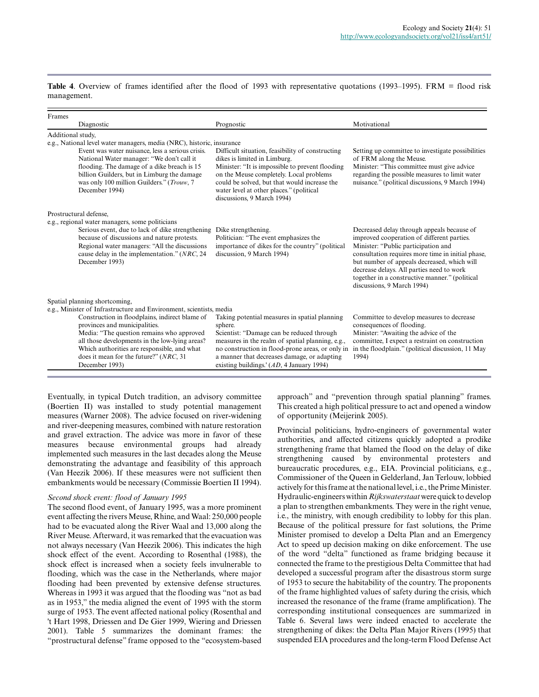**Table 4**. Overview of frames identified after the flood of 1993 with representative quotations (1993–1995). FRM = flood risk management.

| Frames            |                                                                                                                                                                                                                                                                                           |                                                                                                                                                                                                                                                                                                            |                                                                                                                                                                                                                                                                                                                                                                  |
|-------------------|-------------------------------------------------------------------------------------------------------------------------------------------------------------------------------------------------------------------------------------------------------------------------------------------|------------------------------------------------------------------------------------------------------------------------------------------------------------------------------------------------------------------------------------------------------------------------------------------------------------|------------------------------------------------------------------------------------------------------------------------------------------------------------------------------------------------------------------------------------------------------------------------------------------------------------------------------------------------------------------|
|                   | Diagnostic                                                                                                                                                                                                                                                                                | Prognostic                                                                                                                                                                                                                                                                                                 | Motivational                                                                                                                                                                                                                                                                                                                                                     |
| Additional study, |                                                                                                                                                                                                                                                                                           |                                                                                                                                                                                                                                                                                                            |                                                                                                                                                                                                                                                                                                                                                                  |
|                   | e.g., National level water managers, media (NRC), historic, insurance<br>Event was water nuisance, less a serious crisis.                                                                                                                                                                 | Difficult situation, feasibility of constructing                                                                                                                                                                                                                                                           | Setting up committee to investigate possibilities                                                                                                                                                                                                                                                                                                                |
|                   | National Water manager: "We don't call it<br>flooding. The damage of a dike breach is 15<br>billion Guilders, but in Limburg the damage<br>was only 100 million Guilders." (Trouw, 7<br>December 1994)                                                                                    | dikes is limited in Limburg.<br>Minister: "It is impossible to prevent flooding<br>on the Meuse completely. Local problems<br>could be solved, but that would increase the<br>water level at other places." (political<br>discussions, 9 March 1994)                                                       | of FRM along the Meuse.<br>Minister: "This committee must give advice"<br>regarding the possible measures to limit water<br>nuisance." (political discussions, 9 March 1994)                                                                                                                                                                                     |
|                   | Prostructural defense.                                                                                                                                                                                                                                                                    |                                                                                                                                                                                                                                                                                                            |                                                                                                                                                                                                                                                                                                                                                                  |
|                   | e.g., regional water managers, some politicians<br>Serious event, due to lack of dike strengthening<br>because of discussions and nature protests.<br>Regional water managers: "All the discussions"<br>cause delay in the implementation." (NRC, 24<br>December 1993)                    | Dike strengthening.<br>Politician: "The event emphasizes the<br>importance of dikes for the country" (political<br>discussion, 9 March 1994)                                                                                                                                                               | Decreased delay through appeals because of<br>improved cooperation of different parties.<br>Minister: "Public participation and<br>consultation requires more time in initial phase,<br>but number of appeals decreased, which will<br>decrease delays. All parties need to work<br>together in a constructive manner." (political<br>discussions, 9 March 1994) |
|                   | Spatial planning shortcoming,<br>e.g., Minister of Infrastructure and Environment, scientists, media                                                                                                                                                                                      |                                                                                                                                                                                                                                                                                                            |                                                                                                                                                                                                                                                                                                                                                                  |
|                   | Construction in floodplains, indirect blame of<br>provinces and municipalities.<br>Media: "The question remains who approved<br>all those developments in the low-lying areas?<br>Which authorities are responsible, and what<br>does it mean for the future?" (NRC, 31<br>December 1993) | Taking potential measures in spatial planning<br>sphere.<br>Scientist: "Damage can be reduced through<br>measures in the realm of spatial planning, e.g.,<br>no construction in flood-prone areas, or only in<br>a manner that decreases damage, or adapting<br>existing buildings. $(AD, 4$ January 1994) | Committee to develop measures to decrease<br>consequences of flooding.<br>Minister: "Awaiting the advice of the<br>committee, I expect a restraint on construction<br>in the floodplain." (political discussion, 11 May<br>1994)                                                                                                                                 |

Eventually, in typical Dutch tradition, an advisory committee (Boertien II) was installed to study potential management measures (Warner 2008). The advice focused on river-widening and river-deepening measures, combined with nature restoration and gravel extraction. The advice was more in favor of these measures because environmental groups had already implemented such measures in the last decades along the Meuse demonstrating the advantage and feasibility of this approach (Van Heezik 2006). If these measures were not sufficient then embankments would be necessary (Commissie Boertien II 1994).

#### *Second shock event: flood of January 1995*

The second flood event, of January 1995, was a more prominent event affecting the rivers Meuse, Rhine, and Waal: 250,000 people had to be evacuated along the River Waal and 13,000 along the River Meuse. Afterward, it was remarked that the evacuation was not always necessary (Van Heezik 2006). This indicates the high shock effect of the event. According to Rosenthal (1988), the shock effect is increased when a society feels invulnerable to flooding, which was the case in the Netherlands, where major flooding had been prevented by extensive defense structures. Whereas in 1993 it was argued that the flooding was "not as bad as in 1953," the media aligned the event of 1995 with the storm surge of 1953. The event affected national policy (Rosenthal and 't Hart 1998, Driessen and De Gier 1999, Wiering and Driessen 2001). Table 5 summarizes the dominant frames: the "prostructural defense" frame opposed to the "ecosystem-based

approach" and "prevention through spatial planning" frames. This created a high political pressure to act and opened a window of opportunity (Meijerink 2005).

Provincial politicians, hydro-engineers of governmental water authorities, and affected citizens quickly adopted a prodike strengthening frame that blamed the flood on the delay of dike strengthening caused by environmental protesters and bureaucratic procedures, e.g., EIA. Provincial politicians, e.g., Commissioner of the Queen in Gelderland, Jan Terlouw, lobbied actively for this frame at the national level, i.e., the Prime Minister. Hydraulic-engineers within *Rijkswaterstaat* were quick to develop a plan to strengthen embankments. They were in the right venue, i.e., the ministry, with enough credibility to lobby for this plan. Because of the political pressure for fast solutions, the Prime Minister promised to develop a Delta Plan and an Emergency Act to speed up decision making on dike enforcement. The use of the word "delta" functioned as frame bridging because it connected the frame to the prestigious Delta Committee that had developed a successful program after the disastrous storm surge of 1953 to secure the habitability of the country. The proponents of the frame highlighted values of safety during the crisis, which increased the resonance of the frame (frame amplification). The corresponding institutional consequences are summarized in Table 6. Several laws were indeed enacted to accelerate the strengthening of dikes: the Delta Plan Major Rivers (1995) that suspended EIA procedures and the long-term Flood Defense Act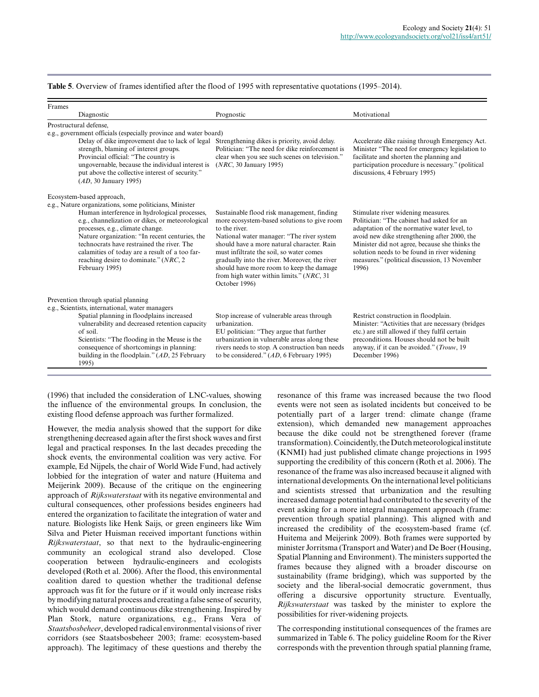| Frames |                                                                                                                                                                                                                                                                                                                                                                                                                                            |                                                                                                                                                                                                                                                                                                                                                                                                              |                                                                                                                                                                                                                                                                                                                                            |
|--------|--------------------------------------------------------------------------------------------------------------------------------------------------------------------------------------------------------------------------------------------------------------------------------------------------------------------------------------------------------------------------------------------------------------------------------------------|--------------------------------------------------------------------------------------------------------------------------------------------------------------------------------------------------------------------------------------------------------------------------------------------------------------------------------------------------------------------------------------------------------------|--------------------------------------------------------------------------------------------------------------------------------------------------------------------------------------------------------------------------------------------------------------------------------------------------------------------------------------------|
|        | Diagnostic                                                                                                                                                                                                                                                                                                                                                                                                                                 | Prognostic                                                                                                                                                                                                                                                                                                                                                                                                   | Motivational                                                                                                                                                                                                                                                                                                                               |
|        | Prostructural defense.<br>e.g., government officials (especially province and water board)                                                                                                                                                                                                                                                                                                                                                 |                                                                                                                                                                                                                                                                                                                                                                                                              |                                                                                                                                                                                                                                                                                                                                            |
|        | Delay of dike improvement due to lack of legal<br>strength, blaming of interest groups.<br>Provincial official: "The country is<br>ungovernable, because the individual interest is<br>put above the collective interest of security."<br>$(AD, 30$ January 1995)                                                                                                                                                                          | Strengthening dikes is priority, avoid delay.<br>Politician: "The need for dike reinforcement is<br>clear when you see such scenes on television."<br>(NRC, 30 January 1995)                                                                                                                                                                                                                                 | Accelerate dike raising through Emergency Act.<br>Minister "The need for emergency legislation to<br>facilitate and shorten the planning and<br>participation procedure is necessary." (political<br>discussions, 4 February 1995)                                                                                                         |
|        | Ecosystem-based approach,<br>e.g., Nature organizations, some politicians, Minister<br>Human interference in hydrological processes,<br>e.g., channelization or dikes, or meteorological<br>processes, e.g., climate change.<br>Nature organization: "In recent centuries, the<br>technocrats have restrained the river. The<br>calamities of today are a result of a too far-<br>reaching desire to dominate." (NRC, 2)<br>February 1995) | Sustainable flood risk management, finding<br>more ecosystem-based solutions to give room<br>to the river.<br>National water manager: "The river system<br>should have a more natural character. Rain<br>must infiltrate the soil, so water comes<br>gradually into the river. Moreover, the river<br>should have more room to keep the damage<br>from high water within limits." (NRC, 31)<br>October 1996) | Stimulate river widening measures.<br>Politician: "The cabinet had asked for an<br>adaptation of the normative water level, to<br>avoid new dike strengthening after 2000, the<br>Minister did not agree, because she thinks the<br>solution needs to be found in river widening<br>measures." (political discussion, 13 November<br>1996) |
|        | Prevention through spatial planning<br>e.g., Scientists, international, water managers<br>Spatial planning in floodplains increased<br>vulnerability and decreased retention capacity<br>of soil.<br>Scientists: "The flooding in the Meuse is the<br>consequence of shortcomings in planning:<br>building in the floodplain." $(AD, 25$ February<br>1995)                                                                                 | Stop increase of vulnerable areas through<br>urbanization.<br>EU politician: "They argue that further<br>urbanization in vulnerable areas along these<br>rivers needs to stop. A construction ban needs<br>to be considered." $(AD, 6$ February 1995)                                                                                                                                                        | Restrict construction in floodplain.<br>Minister: "Activities that are necessary (bridges<br>etc.) are still allowed if they fulfil certain<br>preconditions. Houses should not be built<br>anyway, if it can be avoided." ( <i>Trouw</i> , 19<br>December 1996)                                                                           |

**Table 5**. Overview of frames identified after the flood of 1995 with representative quotations (1995–2014).

(1996) that included the consideration of LNC-values, showing the influence of the environmental groups. In conclusion, the existing flood defense approach was further formalized.

However, the media analysis showed that the support for dike strengthening decreased again after the first shock waves and first legal and practical responses. In the last decades preceding the shock events, the environmental coalition was very active. For example, Ed Nijpels, the chair of World Wide Fund, had actively lobbied for the integration of water and nature (Huitema and Meijerink 2009). Because of the critique on the engineering approach of *Rijkswaterstaat* with its negative environmental and cultural consequences, other professions besides engineers had entered the organization to facilitate the integration of water and nature. Biologists like Henk Saijs, or green engineers like Wim Silva and Pieter Huisman received important functions within *Rijkswaterstaat*, so that next to the hydraulic-engineering community an ecological strand also developed. Close cooperation between hydraulic-engineers and ecologists developed (Roth et al. 2006). After the flood, this environmental coalition dared to question whether the traditional defense approach was fit for the future or if it would only increase risks by modifying natural process and creating a false sense of security, which would demand continuous dike strengthening. Inspired by Plan Stork, nature organizations, e.g., Frans Vera of *Staatsbosbeheer*, developed radical environmental visions of river corridors (see Staatsbosbeheer 2003; frame: ecosystem-based approach). The legitimacy of these questions and thereby the

resonance of this frame was increased because the two flood events were not seen as isolated incidents but conceived to be potentially part of a larger trend: climate change (frame extension), which demanded new management approaches because the dike could not be strengthened forever (frame transformation). Coincidently, the Dutch meteorological institute (KNMI) had just published climate change projections in 1995 supporting the credibility of this concern (Roth et al. 2006). The resonance of the frame was also increased because it aligned with international developments. On the international level politicians and scientists stressed that urbanization and the resulting increased damage potential had contributed to the severity of the event asking for a more integral management approach (frame: prevention through spatial planning). This aligned with and increased the credibility of the ecosystem-based frame (cf. Huitema and Meijerink 2009). Both frames were supported by minister Jorritsma (Transport and Water) and De Boer (Housing, Spatial Planning and Environment). The ministers supported the frames because they aligned with a broader discourse on sustainability (frame bridging), which was supported by the society and the liberal-social democratic government, thus offering a discursive opportunity structure. Eventually, *Rijkswaterstaat* was tasked by the minister to explore the possibilities for river-widening projects.

The corresponding institutional consequences of the frames are summarized in Table 6. The policy guideline Room for the River corresponds with the prevention through spatial planning frame,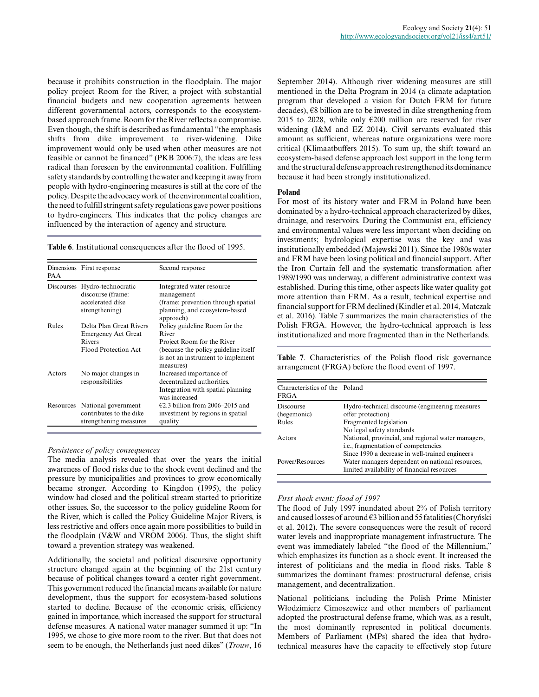because it prohibits construction in the floodplain. The major policy project Room for the River, a project with substantial financial budgets and new cooperation agreements between different governmental actors, corresponds to the ecosystembased approach frame. Room for the River reflects a compromise. Even though, the shift is described as fundamental "the emphasis shifts from dike improvement to river-widening. Dike improvement would only be used when other measures are not feasible or cannot be financed" (PKB 2006:7), the ideas are less radical than foreseen by the environmental coalition. Fulfilling safety standards by controlling the water and keeping it away from people with hydro-engineering measures is still at the core of the policy. Despite the advocacy work of the environmental coalition, the need to fulfill stringent safety regulations gave power positions to hydro-engineers. This indicates that the policy changes are influenced by the interaction of agency and structure.

**Table 6**. Institutional consequences after the flood of 1995.

| PAA    | Dimensions First response                                                                       | Second response                                                                                                                                                             |
|--------|-------------------------------------------------------------------------------------------------|-----------------------------------------------------------------------------------------------------------------------------------------------------------------------------|
|        | Discourses Hydro-technocratic<br>discourse (frame:<br>accelerated dike<br>strengthening)        | Integrated water resource<br>management<br>(frame: prevention through spatial)<br>planning, and ecosystem-based<br>approach)                                                |
| Rules  | Delta Plan Great Rivers<br><b>Emergency Act Great</b><br><b>R</b> ivers<br>Flood Protection Act | Policy guideline Room for the<br>R <sub>iver</sub><br>Project Room for the River<br>(because the policy guideline itself)<br>is not an instrument to implement<br>measures) |
| Actors | No major changes in<br>responsibilities                                                         | Increased importance of<br>decentralized authorities.<br>Integration with spatial planning<br>was increased                                                                 |
|        | Resources National government<br>contributes to the dike<br>strengthening measures              | $E2.3$ billion from 2006–2015 and<br>investment by regions in spatial<br>quality                                                                                            |

#### *Persistence of policy consequences*

The media analysis revealed that over the years the initial awareness of flood risks due to the shock event declined and the pressure by municipalities and provinces to grow economically became stronger. According to Kingdon (1995), the policy window had closed and the political stream started to prioritize other issues. So, the successor to the policy guideline Room for the River, which is called the Policy Guideline Major Rivers, is less restrictive and offers once again more possibilities to build in the floodplain (V&W and VROM 2006). Thus, the slight shift toward a prevention strategy was weakened.

Additionally, the societal and political discursive opportunity structure changed again at the beginning of the 21st century because of political changes toward a center right government. This government reduced the financial means available for nature development, thus the support for ecosystem-based solutions started to decline. Because of the economic crisis, efficiency gained in importance, which increased the support for structural defense measures. A national water manager summed it up: "In 1995, we chose to give more room to the river. But that does not seem to be enough, the Netherlands just need dikes" (*Trouw*, 16 September 2014). Although river widening measures are still mentioned in the Delta Program in 2014 (a climate adaptation program that developed a vision for Dutch FRM for future decades), €8 billion are to be invested in dike strengthening from 2015 to 2028, while only  $\epsilon$ 200 million are reserved for river widening (I&M and EZ 2014). Civil servants evaluated this amount as sufficient, whereas nature organizations were more critical (Klimaatbuffers 2015). To sum up, the shift toward an ecosystem-based defense approach lost support in the long term and the structural defense approach restrengthened its dominance because it had been strongly institutionalized.

#### **Poland**

For most of its history water and FRM in Poland have been dominated by a hydro-technical approach characterized by dikes, drainage, and reservoirs. During the Communist era, efficiency and environmental values were less important when deciding on investments; hydrological expertise was the key and was institutionally embedded (Majewski 2011). Since the 1980s water and FRM have been losing political and financial support. After the Iron Curtain fell and the systematic transformation after 1989/1990 was underway, a different administrative context was established. During this time, other aspects like water quality got more attention than FRM. As a result, technical expertise and financial support for FRM declined (Kindler et al. 2014, Matczak et al. 2016). Table 7 summarizes the main characteristics of the Polish FRGA. However, the hydro-technical approach is less institutionalized and more fragmented than in the Netherlands.

**Table 7**. Characteristics of the Polish flood risk governance arrangement (FRGA) before the flood event of 1997.

| Characteristics of the Poland<br>FRGA    |                                                                                                                                              |
|------------------------------------------|----------------------------------------------------------------------------------------------------------------------------------------------|
| <b>Discourse</b><br>(hegemonic)<br>Rules | Hydro-technical discourse (engineering measures<br>offer protection)<br>Fragmented legislation<br>No legal safety standards                  |
| Actors                                   | National, provincial, and regional water managers,<br>i.e., fragmentation of competencies<br>Since 1990 a decrease in well-trained engineers |
| Power/Resources                          | Water managers dependent on national resources,<br>limited availability of financial resources                                               |

# *First shock event: flood of 1997*

The flood of July 1997 inundated about 2% of Polish territory and caused losses of around €3 billion and 55 fatalities (Choryński et al. 2012). The severe consequences were the result of record water levels and inappropriate management infrastructure. The event was immediately labeled "the flood of the Millennium," which emphasizes its function as a shock event. It increased the interest of politicians and the media in flood risks. Table 8 summarizes the dominant frames: prostructural defense, crisis management, and decentralization.

National politicians, including the Polish Prime Minister Włodzimierz Cimoszewicz and other members of parliament adopted the prostructural defense frame, which was, as a result, the most dominantly represented in political documents. Members of Parliament (MPs) shared the idea that hydrotechnical measures have the capacity to effectively stop future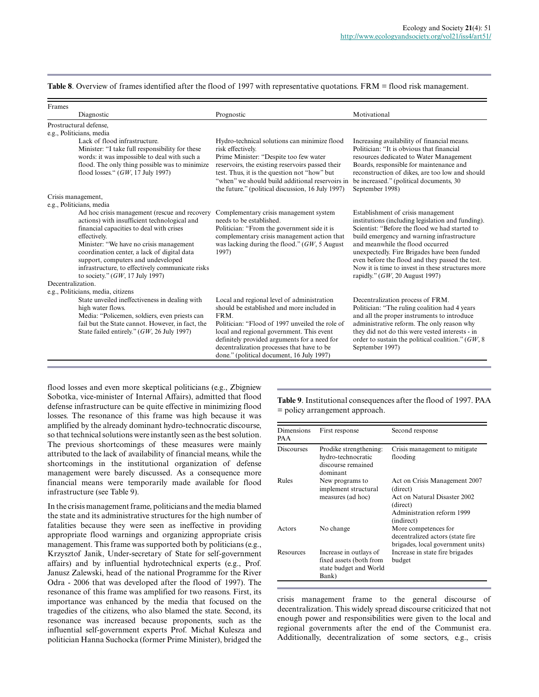|  |  |  |  |  |  |  |  | <b>Table 8.</b> Overview of frames identified after the flood of 1997 with representative quotations. FRM = flood risk management. |  |  |  |  |  |
|--|--|--|--|--|--|--|--|------------------------------------------------------------------------------------------------------------------------------------|--|--|--|--|--|
|--|--|--|--|--|--|--|--|------------------------------------------------------------------------------------------------------------------------------------|--|--|--|--|--|

| Frames             |                                                                                                                                                                                                                                                                                                                                                                                             |                                                                                                                                                                                                                                                                                                                                             |                                                                                                                                                                                                                                                                                                                                                                                                                                  |
|--------------------|---------------------------------------------------------------------------------------------------------------------------------------------------------------------------------------------------------------------------------------------------------------------------------------------------------------------------------------------------------------------------------------------|---------------------------------------------------------------------------------------------------------------------------------------------------------------------------------------------------------------------------------------------------------------------------------------------------------------------------------------------|----------------------------------------------------------------------------------------------------------------------------------------------------------------------------------------------------------------------------------------------------------------------------------------------------------------------------------------------------------------------------------------------------------------------------------|
|                    | Diagnostic                                                                                                                                                                                                                                                                                                                                                                                  | Prognostic                                                                                                                                                                                                                                                                                                                                  | Motivational                                                                                                                                                                                                                                                                                                                                                                                                                     |
|                    | Prostructural defense.                                                                                                                                                                                                                                                                                                                                                                      |                                                                                                                                                                                                                                                                                                                                             |                                                                                                                                                                                                                                                                                                                                                                                                                                  |
|                    | e.g., Politicians, media                                                                                                                                                                                                                                                                                                                                                                    |                                                                                                                                                                                                                                                                                                                                             |                                                                                                                                                                                                                                                                                                                                                                                                                                  |
|                    | Lack of flood infrastructure.<br>Minister: "I take full responsibility for these<br>words: it was impossible to deal with such a<br>flood. The only thing possible was to minimize<br>flood losses." $(GW, 17$ July 1997)                                                                                                                                                                   | Hydro-technical solutions can minimize flood<br>risk effectively.<br>Prime Minister: "Despite too few water<br>reservoirs, the existing reservoirs passed their<br>test. Thus, it is the question not "how" but<br>"when" we should build additional reservoirs in<br>the future." (political discussion, 16 July 1997)                     | Increasing availability of financial means.<br>Politician: "It is obvious that financial<br>resources dedicated to Water Management<br>Boards, responsible for maintenance and<br>reconstruction of dikes, are too low and should<br>be increased." (political documents, 30<br>September 1998)                                                                                                                                  |
| Crisis management, |                                                                                                                                                                                                                                                                                                                                                                                             |                                                                                                                                                                                                                                                                                                                                             |                                                                                                                                                                                                                                                                                                                                                                                                                                  |
|                    | e.g., Politicians, media                                                                                                                                                                                                                                                                                                                                                                    |                                                                                                                                                                                                                                                                                                                                             |                                                                                                                                                                                                                                                                                                                                                                                                                                  |
|                    | Ad hoc crisis management (rescue and recovery<br>actions) with insufficient technological and<br>financial capacities to deal with crises<br>effectively.<br>Minister: "We have no crisis management<br>coordination center, a lack of digital data<br>support, computers and undeveloped<br>infrastructure, to effectively communicate risks<br>to society." $(GW, 17 \text{ July } 1997)$ | Complementary crisis management system<br>needs to be established.<br>Politician: "From the government side it is<br>complementary crisis management action that<br>was lacking during the flood." $(GW, 5)$ August<br>1997)                                                                                                                | Establishment of crisis management<br>institutions (including legislation and funding).<br>Scientist: "Before the flood we had started to<br>build emergency and warning infrastructure<br>and meanwhile the flood occurred<br>unexpectedly. Fire Brigades have been funded<br>even before the flood and they passed the test.<br>Now it is time to invest in these structures more<br>rapidly." $(GW, 20 \text{ August } 1997)$ |
| Decentralization.  |                                                                                                                                                                                                                                                                                                                                                                                             |                                                                                                                                                                                                                                                                                                                                             |                                                                                                                                                                                                                                                                                                                                                                                                                                  |
|                    | e.g., Politicians, media, citizens<br>State unveiled ineffectiveness in dealing with<br>high water flows.<br>Media: "Policemen, soldiers, even priests can<br>fail but the State cannot. However, in fact, the<br>State failed entirely." $(GW, 26 \text{ July } 1997)$                                                                                                                     | Local and regional level of administration<br>should be established and more included in<br>FRM.<br>Politician: "Flood of 1997 unveiled the role of<br>local and regional government. This event<br>definitely provided arguments for a need for<br>decentralization processes that have to be<br>done." (political document, 16 July 1997) | Decentralization process of FRM.<br>Politician: "The ruling coalition had 4 years<br>and all the proper instruments to introduce<br>administrative reform. The only reason why<br>they did not do this were vested interests - in<br>order to sustain the political coalition." $(GW, 8)$<br>September 1997)                                                                                                                     |

flood losses and even more skeptical politicians (e.g., Zbigniew Sobotka, vice-minister of Internal Affairs), admitted that flood defense infrastructure can be quite effective in minimizing flood losses. The resonance of this frame was high because it was amplified by the already dominant hydro-technocratic discourse, so that technical solutions were instantly seen as the best solution. The previous shortcomings of these measures were mainly attributed to the lack of availability of financial means, while the shortcomings in the institutional organization of defense management were barely discussed. As a consequence more financial means were temporarily made available for flood infrastructure (see Table 9).

In the crisis management frame, politicians and the media blamed the state and its administrative structures for the high number of fatalities because they were seen as ineffective in providing appropriate flood warnings and organizing appropriate crisis management. This frame was supported both by politicians (e.g., Krzysztof Janik, Under-secretary of State for self-government affairs) and by influential hydrotechnical experts (e.g., Prof. Janusz Zalewski, head of the national Programme for the River Odra - 2006 that was developed after the flood of 1997). The resonance of this frame was amplified for two reasons. First, its importance was enhanced by the media that focused on the tragedies of the citizens, who also blamed the state. Second, its resonance was increased because proponents, such as the influential self-government experts Prof. Michał Kulesza and politician Hanna Suchocka (former Prime Minister), bridged the

**Table 9**. Institutional consequences after the flood of 1997. PAA = policy arrangement approach.

| Dimensions<br>PAA | First response                                                                       | Second response                                                                                                                   |
|-------------------|--------------------------------------------------------------------------------------|-----------------------------------------------------------------------------------------------------------------------------------|
| <b>Discourses</b> | Prodike strengthening:<br>hydro-technocratic<br>discourse remained<br>dominant       | Crisis management to mitigate<br>flooding                                                                                         |
| Rules             | New programs to<br>implement structural<br>measures (ad hoc)                         | Act on Crisis Management 2007<br>(direct)<br>Act on Natural Disaster 2002<br>(direct)<br>Administration reform 1999<br>(indirect) |
| Actors            | No change                                                                            | More competences for<br>decentralized actors (state fire<br>brigades, local government units)                                     |
| <b>Resources</b>  | Increase in outlays of<br>fixed assets (both from<br>state budget and World<br>Bank) | Increase in state fire brigades<br>budget                                                                                         |

crisis management frame to the general discourse of decentralization. This widely spread discourse criticized that not enough power and responsibilities were given to the local and regional governments after the end of the Communist era. Additionally, decentralization of some sectors, e.g., crisis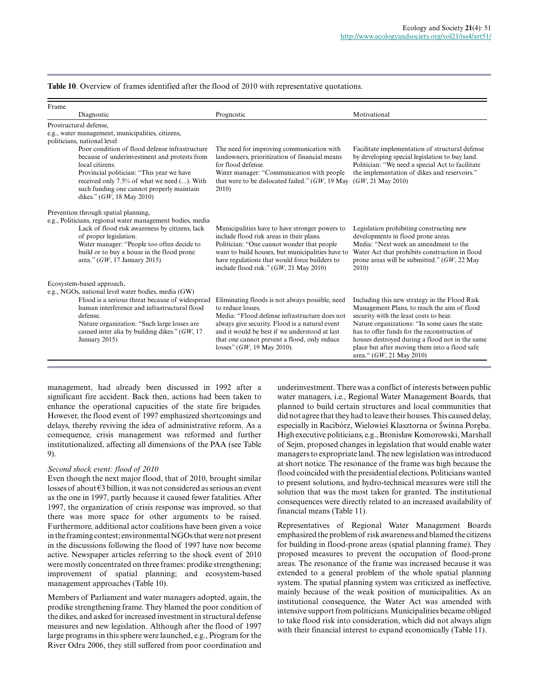#### **Table 10**. Overview of frames identified after the flood of 2010 with representative quotations.

| Frame | Diagnostic                                                                                                                                                                                                                                                                                                                                                                                                       | Prognostic                                                                                                                                                                                                                                                                                               | Motivational                                                                                                                                                                                                                                                                                                                                                               |
|-------|------------------------------------------------------------------------------------------------------------------------------------------------------------------------------------------------------------------------------------------------------------------------------------------------------------------------------------------------------------------------------------------------------------------|----------------------------------------------------------------------------------------------------------------------------------------------------------------------------------------------------------------------------------------------------------------------------------------------------------|----------------------------------------------------------------------------------------------------------------------------------------------------------------------------------------------------------------------------------------------------------------------------------------------------------------------------------------------------------------------------|
|       | Prostructural defense.<br>e.g., water management, municipalities, citizens,<br>politicians, national level<br>Poor condition of flood defense infrastructure<br>because of underinvestment and protests from<br>local citizens.<br>Provincial politician: "This year we have<br>received only 7.5% of what we need (). With<br>such funding one cannot properly maintain<br>dikes." $(GW, 18 \text{ May } 2010)$ | The need for improving communication with<br>landowners, prioritization of financial means<br>for flood defense.<br>Water manager: "Communication with people<br>that were to be dislocated failed." $(GW, 19$ May<br>2010)                                                                              | Facilitate implementation of structural defense<br>by developing special legislation to buy land.<br>Politician: "We need a special Act to facilitate<br>the implementation of dikes and reservoirs."<br>$(GW, 21$ May 2010)                                                                                                                                               |
|       | Prevention through spatial planning,<br>e.g., Politicians, regional water management bodies, media<br>Lack of flood risk awareness by citizens, lack<br>of proper legislation.<br>Water manager: "People too often decide to<br>build or to buy a house in the flood prone<br>area." $(GW, 17$ January 2015)                                                                                                     | Municipalities have to have stronger powers to<br>include flood risk areas in their plans.<br>Politician: "One cannot wonder that people<br>want to build houses, but municipalities have to<br>have regulations that would force builders to<br>include flood risk." $(GW, 21$ May 2010)                | Legislation prohibiting constructing new<br>developments in flood prone areas.<br>Media: "Next week an amendment to the<br>Water Act that prohibits construction in flood<br>prone areas will be submitted." $(GW, 22$ May<br>2010)                                                                                                                                        |
|       | Ecosystem-based approach,<br>e.g., NGOs, national level water bodies, media (GW)<br>Flood is a serious threat because of widespread<br>human interference and infrastructural flood<br>defense.<br>Nature organization: "Such large losses are<br>caused inter alia by building dikes." $(GW, 17)$<br>January 2015)                                                                                              | Eliminating floods is not always possible, need<br>to reduce losses.<br>Media: "Flood defense infrastructure does not<br>always give security. Flood is a natural event<br>and it would be best if we understood at last<br>that one cannot prevent a flood, only reduce<br>losses" $(GW, 19$ May 2010). | Including this new strategy in the Flood Risk<br>Management Plans, to reach the aim of flood<br>security with the least costs to bear.<br>Nature organizations: "In some cases the state<br>has to offer funds for the reconstruction of<br>houses destroyed during a flood not in the same<br>place but after moving them into a flood safe<br>area." $(GW, 21$ May 2010) |

management, had already been discussed in 1992 after a significant fire accident. Back then, actions had been taken to enhance the operational capacities of the state fire brigades. However, the flood event of 1997 emphasized shortcomings and delays, thereby reviving the idea of administrative reform. As a consequence, crisis management was reformed and further institutionalized, affecting all dimensions of the PAA (see Table 9).

#### *Second shock event: flood of 2010*

Even though the next major flood, that of 2010, brought similar losses of about €3 billion, it was not considered as serious an event as the one in 1997, partly because it caused fewer fatalities. After 1997, the organization of crisis response was improved, so that there was more space for other arguments to be raised. Furthermore, additional actor coalitions have been given a voice in the framing contest; environmental NGOs that were not present in the discussions following the flood of 1997 have now become active. Newspaper articles referring to the shock event of 2010 were mostly concentrated on three frames: prodike strengthening; improvement of spatial planning; and ecosystem-based management approaches (Table 10).

Members of Parliament and water managers adopted, again, the prodike strengthening frame. They blamed the poor condition of the dikes, and asked for increased investment in structural defense measures and new legislation. Although after the flood of 1997 large programs in this sphere were launched, e.g., Program for the River Odra 2006, they still suffered from poor coordination and

underinvestment. There was a conflict of interests between public water managers, i.e., Regional Water Management Boards, that planned to build certain structures and local communities that did not agree that they had to leave their houses. This caused delay, especially in Racibórz, Wielowieś Klasztorna or Świnna Poręba. High executive politicians, e.g., Bronisław Komorowski, Marshall of Sejm, proposed changes in legislation that would enable water managers to expropriate land. The new legislation was introduced at short notice. The resonance of the frame was high because the flood coincided with the presidential elections. Politicians wanted to present solutions, and hydro-technical measures were still the solution that was the most taken for granted. The institutional consequences were directly related to an increased availability of financial means (Table 11).

Representatives of Regional Water Management Boards emphasized the problem of risk awareness and blamed the citizens for building in flood-prone areas (spatial planning frame). They proposed measures to prevent the occupation of flood-prone areas. The resonance of the frame was increased because it was extended to a general problem of the whole spatial planning system. The spatial planning system was criticized as ineffective, mainly because of the weak position of municipalities. As an institutional consequence, the Water Act was amended with intensive support from politicians. Municipalities became obliged to take flood risk into consideration, which did not always align with their financial interest to expand economically (Table 11).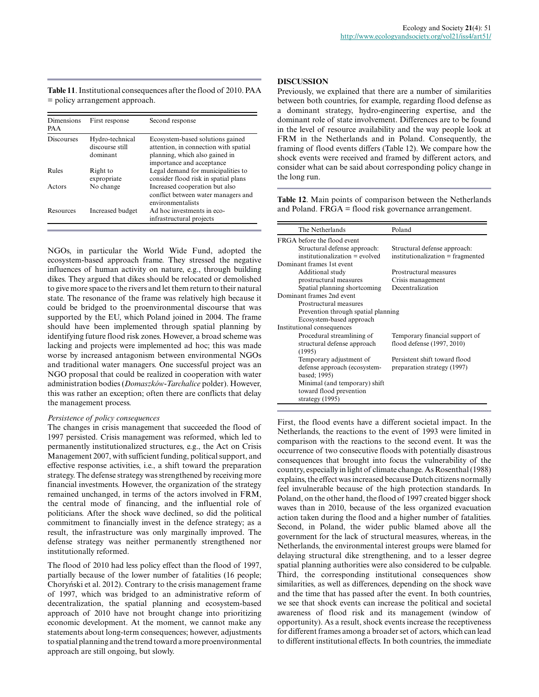**Table 11**. Institutional consequences after the flood of 2010. PAA = policy arrangement approach.

| Dimensions<br>PAA | First response                                 | Second response                                                                                                                          |
|-------------------|------------------------------------------------|------------------------------------------------------------------------------------------------------------------------------------------|
| <b>Discourses</b> | Hydro-technical<br>discourse still<br>dominant | Ecosystem-based solutions gained<br>attention, in connection with spatial<br>planning, which also gained in<br>importance and acceptance |
| Rules             | Right to<br>expropriate                        | Legal demand for municipalities to<br>consider flood risk in spatial plans                                                               |
| Actors            | No change                                      | Increased cooperation but also<br>conflict between water managers and<br>environmentalists                                               |
| Resources         | Increased budget                               | Ad hoc investments in eco-<br>infrastructural projects                                                                                   |

NGOs, in particular the World Wide Fund, adopted the ecosystem-based approach frame. They stressed the negative influences of human activity on nature, e.g., through building dikes. They argued that dikes should be relocated or demolished to give more space to the rivers and let them return to their natural state. The resonance of the frame was relatively high because it could be bridged to the proenvironmental discourse that was supported by the EU, which Poland joined in 2004. The frame should have been implemented through spatial planning by identifying future flood risk zones. However, a broad scheme was lacking and projects were implemented ad hoc; this was made worse by increased antagonism between environmental NGOs and traditional water managers. One successful project was an NGO proposal that could be realized in cooperation with water administration bodies (*Domaszków-Tarchalice* polder). However, this was rather an exception; often there are conflicts that delay the management process.

## *Persistence of policy consequences*

The changes in crisis management that succeeded the flood of 1997 persisted. Crisis management was reformed, which led to permanently institutionalized structures, e.g., the Act on Crisis Management 2007, with sufficient funding, political support, and effective response activities, i.e., a shift toward the preparation strategy. The defense strategy was strengthened by receiving more financial investments. However, the organization of the strategy remained unchanged, in terms of the actors involved in FRM, the central mode of financing, and the influential role of politicians. After the shock wave declined, so did the political commitment to financially invest in the defence strategy; as a result, the infrastructure was only marginally improved. The defense strategy was neither permanently strengthened nor institutionally reformed.

The flood of 2010 had less policy effect than the flood of 1997, partially because of the lower number of fatalities (16 people; Choryński et al. 2012). Contrary to the crisis management frame of 1997, which was bridged to an administrative reform of decentralization, the spatial planning and ecosystem-based approach of 2010 have not brought change into prioritizing economic development. At the moment, we cannot make any statements about long-term consequences; however, adjustments to spatial planning and the trend toward a more proenvironmental approach are still ongoing, but slowly.

#### **DISCUSSION**

Previously, we explained that there are a number of similarities between both countries, for example, regarding flood defense as a dominant strategy, hydro-engineering expertise, and the dominant role of state involvement. Differences are to be found in the level of resource availability and the way people look at FRM in the Netherlands and in Poland. Consequently, the framing of flood events differs (Table 12). We compare how the shock events were received and framed by different actors, and consider what can be said about corresponding policy change in the long run.

**Table 12**. Main points of comparison between the Netherlands and Poland. FRGA = flood risk governance arrangement.

| The Netherlands                     | Poland                            |
|-------------------------------------|-----------------------------------|
| FRGA before the flood event         |                                   |
| Structural defense approach:        | Structural defense approach:      |
| institutionalization = evolved      | institutionalization = fragmented |
| Dominant frames 1st event           |                                   |
| Additional study                    | Prostructural measures            |
| prostructural measures              | Crisis management                 |
| Spatial planning shortcoming        | Decentralization                  |
| Dominant frames 2nd event           |                                   |
| Prostructural measures              |                                   |
| Prevention through spatial planning |                                   |
| Ecosystem-based approach            |                                   |
| Institutional consequences          |                                   |
| Procedural streamlining of          | Temporary financial support of    |
| structural defense approach         | flood defense (1997, 2010)        |
| (1995)                              |                                   |
| Temporary adjustment of             | Persistent shift toward flood     |
| defense approach (ecosystem-        | preparation strategy (1997)       |
| based: 1995)                        |                                   |
| Minimal (and temporary) shift       |                                   |
| toward flood prevention             |                                   |
| strategy (1995)                     |                                   |

First, the flood events have a different societal impact. In the Netherlands, the reactions to the event of 1993 were limited in comparison with the reactions to the second event. It was the occurrence of two consecutive floods with potentially disastrous consequences that brought into focus the vulnerability of the country, especially in light of climate change. As Rosenthal (1988) explains, the effect was increased because Dutch citizens normally feel invulnerable because of the high protection standards. In Poland, on the other hand, the flood of 1997 created bigger shock waves than in 2010, because of the less organized evacuation action taken during the flood and a higher number of fatalities. Second, in Poland, the wider public blamed above all the government for the lack of structural measures, whereas, in the Netherlands, the environmental interest groups were blamed for delaying structural dike strengthening, and to a lesser degree spatial planning authorities were also considered to be culpable. Third, the corresponding institutional consequences show similarities, as well as differences, depending on the shock wave and the time that has passed after the event. In both countries, we see that shock events can increase the political and societal awareness of flood risk and its management (window of opportunity). As a result, shock events increase the receptiveness for different frames among a broader set of actors, which can lead to different institutional effects. In both countries, the immediate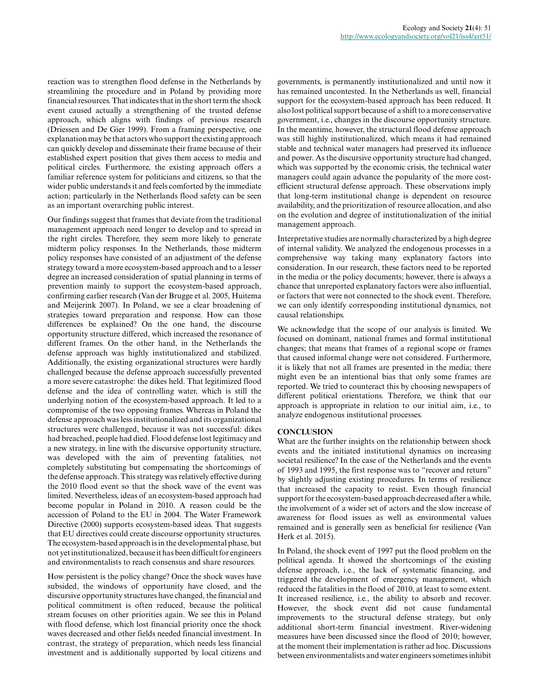reaction was to strengthen flood defense in the Netherlands by streamlining the procedure and in Poland by providing more financial resources. That indicates that in the short term the shock event caused actually a strengthening of the trusted defense approach, which aligns with findings of previous research (Driessen and De Gier 1999). From a framing perspective, one explanation may be that actors who support the existing approach can quickly develop and disseminate their frame because of their established expert position that gives them access to media and political circles. Furthermore, the existing approach offers a familiar reference system for politicians and citizens, so that the wider public understands it and feels comforted by the immediate action; particularly in the Netherlands flood safety can be seen as an important overarching public interest.

Our findings suggest that frames that deviate from the traditional management approach need longer to develop and to spread in the right circles. Therefore, they seem more likely to generate midterm policy responses. In the Netherlands, those midterm policy responses have consisted of an adjustment of the defense strategy toward a more ecosystem-based approach and to a lesser degree an increased consideration of spatial planning in terms of prevention mainly to support the ecosystem-based approach, confirming earlier research (Van der Brugge et al. 2005, Huitema and Meijerink 2007). In Poland, we see a clear broadening of strategies toward preparation and response. How can those differences be explained? On the one hand, the discourse opportunity structure differed, which increased the resonance of different frames. On the other hand, in the Netherlands the defense approach was highly institutionalized and stabilized. Additionally, the existing organizational structures were hardly challenged because the defense approach successfully prevented a more severe catastrophe: the dikes held. That legitimized flood defense and the idea of controlling water, which is still the underlying notion of the ecosystem-based approach. It led to a compromise of the two opposing frames. Whereas in Poland the defense approach was less institutionalized and its organizational structures were challenged, because it was not successful: dikes had breached, people had died. Flood defense lost legitimacy and a new strategy, in line with the discursive opportunity structure, was developed with the aim of preventing fatalities, not completely substituting but compensating the shortcomings of the defense approach. This strategy was relatively effective during the 2010 flood event so that the shock wave of the event was limited. Nevertheless, ideas of an ecosystem-based approach had become popular in Poland in 2010. A reason could be the accession of Poland to the EU in 2004. The Water Framework Directive (2000) supports ecosystem-based ideas. That suggests that EU directives could create discourse opportunity structures. The ecosystem-based approach is in the developmental phase, but not yet institutionalized, because it has been difficult for engineers and environmentalists to reach consensus and share resources.

How persistent is the policy change? Once the shock waves have subsided, the windows of opportunity have closed, and the discursive opportunity structures have changed, the financial and political commitment is often reduced, because the political stream focuses on other priorities again. We see this in Poland with flood defense, which lost financial priority once the shock waves decreased and other fields needed financial investment. In contrast, the strategy of preparation, which needs less financial investment and is additionally supported by local citizens and

governments, is permanently institutionalized and until now it has remained uncontested. In the Netherlands as well, financial support for the ecosystem-based approach has been reduced. It also lost political support because of a shift to a more conservative government, i.e., changes in the discourse opportunity structure. In the meantime, however, the structural flood defense approach was still highly institutionalized, which means it had remained stable and technical water managers had preserved its influence and power. As the discursive opportunity structure had changed, which was supported by the economic crisis, the technical water managers could again advance the popularity of the more costefficient structural defense approach. These observations imply that long-term institutional change is dependent on resource availability, and the prioritization of resource allocation, and also on the evolution and degree of institutionalization of the initial management approach.

Interpretative studies are normally characterized by a high degree of internal validity. We analyzed the endogenous processes in a comprehensive way taking many explanatory factors into consideration. In our research, these factors need to be reported in the media or the policy documents; however, there is always a chance that unreported explanatory factors were also influential, or factors that were not connected to the shock event. Therefore, we can only identify corresponding institutional dynamics, not causal relationships.

We acknowledge that the scope of our analysis is limited. We focused on dominant, national frames and formal institutional changes; that means that frames of a regional scope or frames that caused informal change were not considered. Furthermore, it is likely that not all frames are presented in the media; there might even be an intentional bias that only some frames are reported. We tried to counteract this by choosing newspapers of different political orientations. Therefore, we think that our approach is appropriate in relation to our initial aim, i.e., to analyze endogenous institutional processes.

# **CONCLUSION**

What are the further insights on the relationship between shock events and the initiated institutional dynamics on increasing societal resilience? In the case of the Netherlands and the events of 1993 and 1995, the first response was to "recover and return" by slightly adjusting existing procedures. In terms of resilience that increased the capacity to resist. Even though financial support for the ecosystem-based approach decreased after a while, the involvement of a wider set of actors and the slow increase of awareness for flood issues as well as environmental values remained and is generally seen as beneficial for resilience (Van Herk et al. 2015).

In Poland, the shock event of 1997 put the flood problem on the political agenda. It showed the shortcomings of the existing defense approach, i.e., the lack of systematic financing, and triggered the development of emergency management, which reduced the fatalities in the flood of 2010, at least to some extent. It increased resilience, i.e., the ability to absorb and recover. However, the shock event did not cause fundamental improvements to the structural defense strategy, but only additional short-term financial investment. River-widening measures have been discussed since the flood of 2010; however, at the moment their implementation is rather ad hoc. Discussions between environmentalists and water engineers sometimes inhibit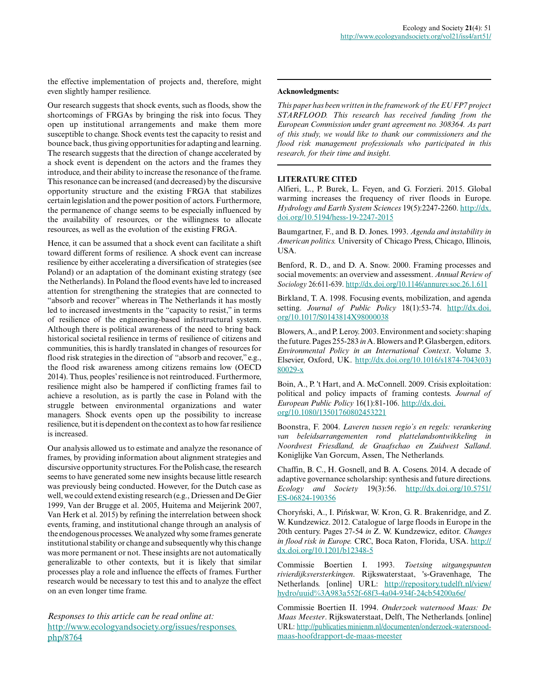the effective implementation of projects and, therefore, might even slightly hamper resilience.

Our research suggests that shock events, such as floods, show the shortcomings of FRGAs by bringing the risk into focus. They open up institutional arrangements and make them more susceptible to change. Shock events test the capacity to resist and bounce back, thus giving opportunities for adapting and learning. The research suggests that the direction of change accelerated by a shock event is dependent on the actors and the frames they introduce, and their ability to increase the resonance of the frame. This resonance can be increased (and decreased) by the discursive opportunity structure and the existing FRGA that stabilizes certain legislation and the power position of actors. Furthermore, the permanence of change seems to be especially influenced by the availability of resources, or the willingness to allocate resources, as well as the evolution of the existing FRGA.

Hence, it can be assumed that a shock event can facilitate a shift toward different forms of resilience. A shock event can increase resilience by either accelerating a diversification of strategies (see Poland) or an adaptation of the dominant existing strategy (see the Netherlands). In Poland the flood events have led to increased attention for strengthening the strategies that are connected to "absorb and recover" whereas in The Netherlands it has mostly led to increased investments in the "capacity to resist," in terms of resilience of the engineering-based infrastructural system. Although there is political awareness of the need to bring back historical societal resilience in terms of resilience of citizens and communities, this is hardly translated in changes of resources for flood risk strategies in the direction of "absorb and recover," e.g., the flood risk awareness among citizens remains low (OECD 2014). Thus, peoples' resilience is not reintroduced. Furthermore, resilience might also be hampered if conflicting frames fail to achieve a resolution, as is partly the case in Poland with the struggle between environmental organizations and water managers. Shock events open up the possibility to increase resilience, but it is dependent on the context as to how far resilience is increased.

Our analysis allowed us to estimate and analyze the resonance of frames, by providing information about alignment strategies and discursive opportunity structures. For the Polish case, the research seems to have generated some new insights because little research was previously being conducted. However, for the Dutch case as well, we could extend existing research (e.g., Driessen and De Gier 1999, Van der Brugge et al. 2005, Huitema and Meijerink 2007, Van Herk et al. 2015) by refining the interrelation between shock events, framing, and institutional change through an analysis of the endogenous processes. We analyzed why some frames generate institutional stability or change and subsequently why this change was more permanent or not. These insights are not automatically generalizable to other contexts, but it is likely that similar processes play a role and influence the effects of frames. Further research would be necessary to test this and to analyze the effect on an even longer time frame.

*Responses to this article can be read online at:* [http://www.ecologyandsociety.org/issues/responses.](http://www.ecologyandsociety.org/issues/responses.php/8764) [php/8764](http://www.ecologyandsociety.org/issues/responses.php/8764)

# **Acknowledgments:**

*This paper has been written in the framework of the EU FP7 project STARFLOOD. This research has received funding from the European Commission under grant agreement no. 308364. As part of this study, we would like to thank our commissioners and the flood risk management professionals who participated in this research, for their time and insight.*

## **LITERATURE CITED**

Alfieri, L., P. Burek, L. Feyen, and G. Forzieri. 2015. Global warming increases the frequency of river floods in Europe. *Hydrology and Earth System Sciences* 19(5):2247-2260. [http://dx.](http://dx.doi.org/10.5194%2Fhess-19-2247-2015) [doi.org/10.5194/hess-19-2247-2015](http://dx.doi.org/10.5194%2Fhess-19-2247-2015) 

Baumgartner, F., and B. D. Jones. 1993. *Agenda and instability in American politics.* University of Chicago Press, Chicago, Illinois, USA.

Benford, R. D., and D. A. Snow. 2000. Framing processes and social movements: an overview and assessment. *Annual Review of Sociology* 26:611-639. [http://dx.doi.org/10.1146/annurev.soc.26.1.611](http://dx.doi.org/10.1146%2Fannurev.soc.26.1.611) 

Birkland, T. A. 1998. Focusing events, mobilization, and agenda setting. *Journal of Public Policy* 18(1):53-74. [http://dx.doi.](http://dx.doi.org/10.1017%2FS0143814X98000038) [org/10.1017/S0143814X98000038](http://dx.doi.org/10.1017%2FS0143814X98000038) 

Blowers, A., and P. Leroy. 2003. Environment and society: shaping the future. Pages 255-283 *in* A. Blowers and P. Glasbergen, editors. *Environmental Policy in an International Context*. Volume 3. Elsevier, Oxford, UK. [http://dx.doi.org/10.1016/s1874-7043\(03\)](http://dx.doi.org/10.1016%2Fs1874-7043%2803%2980029-x) [80029-x](http://dx.doi.org/10.1016%2Fs1874-7043%2803%2980029-x) 

Boin, A., P. 't Hart, and A. McConnell. 2009. Crisis exploitation: political and policy impacts of framing contests. *Journal of European Public Policy* 16(1):81-106. [http://dx.doi.](http://dx.doi.org/10.1080%2F13501760802453221) [org/10.1080/13501760802453221](http://dx.doi.org/10.1080%2F13501760802453221) 

Boonstra, F. 2004. *Laveren tussen regio's en regels: verankering van beleidsarrangementen rond plattelandsontwikkeling in Noordwest Friesdland, de Graafschao en Zuidwest Salland*. Koniglijke Van Gorcum, Assen, The Netherlands.

Chaffin, B. C., H. Gosnell, and B. A. Cosens. 2014. A decade of adaptive governance scholarship: synthesis and future directions. *Ecology and Society* 19(3):56. [http://dx.doi.org/10.5751/](http://dx.doi.org/10.5751%2FES-06824-190356) [ES-06824-190356](http://dx.doi.org/10.5751%2FES-06824-190356)

Choryński, A., I. Pińskwar, W. Kron, G. R. Brakenridge, and Z. W. Kundzewicz. 2012. Catalogue of large floods in Europe in the 20th century. Pages 27-54 *in* Z. W. Kundzewicz, editor. *Changes in flood risk in Europe.* CRC, Boca Raton, Florida, USA. [http://](http://dx.doi.org/10.1201%2Fb12348-5) [dx.doi.org/10.1201/b12348-5](http://dx.doi.org/10.1201%2Fb12348-5) 

Commissie Boertien I. 1993. *Toetsing uitgangspunten rivierdijksversterkingen*. Rijkswaterstaat, 's-Gravenhage, The Netherlands. [online] URL: [http://repository.tudelft.nl/view/](http://repository.tudelft.nl/view/hydro/uuid%3A983a552f-68f3-4a04-934f-24cb54200a6e/) [hydro/uuid%3A983a552f-68f3-4a04-934f-24cb54200a6e/](http://repository.tudelft.nl/view/hydro/uuid%3A983a552f-68f3-4a04-934f-24cb54200a6e/) 

Commissie Boertien II. 1994. *Onderzoek waternood Maas: De Maas Meester*. Rijkswaterstaat, Delft, The Netherlands. [online] URL: [http://publicaties.minienm.nl/documenten/onderzoek-watersnood](http://publicaties.minienm.nl/documenten/onderzoek-watersnood-maas-hoofdrapport-de-maas-meester)[maas-hoofdrapport-de-maas-meester](http://publicaties.minienm.nl/documenten/onderzoek-watersnood-maas-hoofdrapport-de-maas-meester)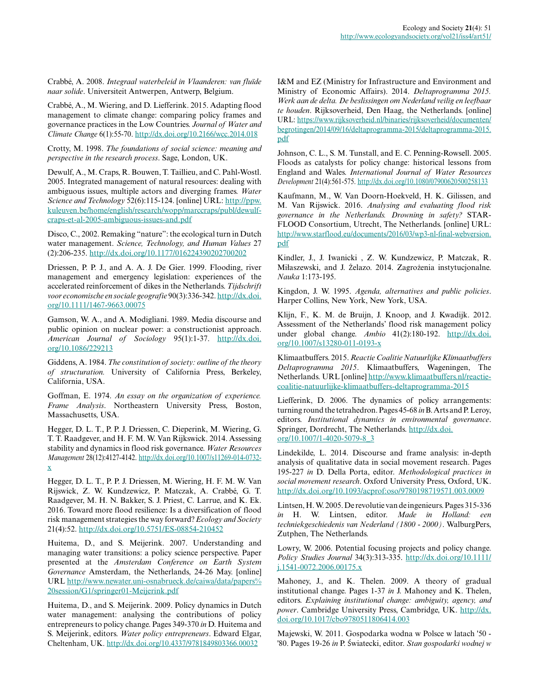Crabbé, A. 2008. *Integraal waterbeleid in Vlaanderen: van fluïde naar solide*. Universiteit Antwerpen, Antwerp, Belgium.

Crabbé, A., M. Wiering, and D. Liefferink. 2015. Adapting flood management to climate change: comparing policy frames and governance practices in the Low Countries. *Journal of Water and Climate Change* 6(1):55-70. [http://dx.doi.org/10.2166/wcc.2014.018](http://dx.doi.org/10.2166%2Fwcc.2014.018) 

Crotty, M. 1998. *The foundations of social science: meaning and perspective in the research process*. Sage, London, UK.

Dewulf, A., M. Craps, R. Bouwen, T. Taillieu, and C. Pahl-Wostl. 2005. Integrated management of natural resources: dealing with ambiguous issues, multiple actors and diverging frames. *Water Science and Technology* 52(6):115-124. [online] URL: [http://ppw.](http://ppw.kuleuven.be/home/english/research/wopp/marccraps/publ/dewulf-craps-et-al-2005-ambiguous-issues-and.pdf) [kuleuven.be/home/english/research/wopp/marccraps/publ/dewulf](http://ppw.kuleuven.be/home/english/research/wopp/marccraps/publ/dewulf-craps-et-al-2005-ambiguous-issues-and.pdf)[craps-et-al-2005-ambiguous-issues-and.pdf](http://ppw.kuleuven.be/home/english/research/wopp/marccraps/publ/dewulf-craps-et-al-2005-ambiguous-issues-and.pdf)

Disco, C., 2002. Remaking "nature": the ecological turn in Dutch water management. *Science, Technology, and Human Values* 27 (2):206-235. [http://dx.doi.org/10.1177/016224390202700202](http://dx.doi.org/10.1177%2F016224390202700202) 

Driessen, P. P. J., and A. A. J. De Gier. 1999. Flooding, river management and emergency legislation: experiences of the accelerated reinforcement of dikes in the Netherlands. *Tijdschrift voor economische en sociale geografie* 90(3):336-342. [http://dx.doi.](http://dx.doi.org/10.1111%2F1467-9663.00075) [org/10.1111/1467-9663.00075](http://dx.doi.org/10.1111%2F1467-9663.00075)

Gamson, W. A., and A. Modigliani. 1989. Media discourse and public opinion on nuclear power: a constructionist approach. *American Journal of Sociology* 95(1):1-37. [http://dx.doi.](http://dx.doi.org/10.1086%2F229213) [org/10.1086/229213](http://dx.doi.org/10.1086%2F229213)

Giddens, A. 1984. *The constitution of society: outline of the theory of structuration.* University of California Press, Berkeley, California, USA.

Goffman, E. 1974. *An essay on the organization of experience. Frame Analysis*. Northeastern University Press, Boston, Massachusetts, USA.

Hegger, D. L. T., P. P. J. Driessen, C. Dieperink, M. Wiering, G. T. T. Raadgever, and H. F. M. W. Van Rijkswick. 2014. Assessing stability and dynamics in flood risk governance. *Water Resources Management* 28(12):4127-4142. [http://dx.doi.org/10.1007/s11269-014-0732](http://dx.doi.org/10.1007%2Fs11269-014-0732-x) [x](http://dx.doi.org/10.1007%2Fs11269-014-0732-x)

Hegger, D. L. T., P. P. J. Driessen, M. Wiering, H. F. M. W. Van Rijswick, Z. W. Kundzewicz, P. Matczak, A. Crabbé, G. T. Raadgever, M. H. N. Bakker, S. J. Priest, C. Larrue, and K. Ek. 2016. Toward more flood resilience: Is a diversification of flood risk management strategies the way forward? *Ecology and Society* 21(4):52. <http://dx.doi.org/10.5751/ES-08854-210452>

Huitema, D., and S. Meijerink. 2007. Understanding and managing water transitions: a policy science perspective. Paper presented at the *Amsterdam Conference on Earth System Governance* Amsterdam, the Netherlands, 24-26 May. [online] URL [http://www.newater.uni-osnabrueck.de/caiwa/data/papers%](http://www.newater.uni-osnabrueck.de/caiwa/data/papers%20session/G1/springer01-Meijerink.pdf) [20session/G1/springer01-Meijerink.pdf](http://www.newater.uni-osnabrueck.de/caiwa/data/papers%20session/G1/springer01-Meijerink.pdf)

Huitema, D., and S. Meijerink. 2009. Policy dynamics in Dutch water management: analysing the contributions of policy entrepreneurs to policy change. Pages 349-370 *in* D. Huitema and S. Meijerink, editors. *Water policy entrepreneurs*. Edward Elgar, Cheltenham, UK. [http://dx.doi.org/10.4337/9781849803366.00032](http://dx.doi.org/10.4337%2F9781849803366.00032) 

I&M and EZ (Ministry for Infrastructure and Environment and Ministry of Economic Affairs). 2014. *Deltaprogramma 2015. Werk aan de delta. De beslissingen om Nederland veilig en leefbaar te houden*. Rijksoverheid, Den Haag, the Netherlands. [online] URL: [https://www.rijksoverheid.nl/binaries/rijksoverheid/documenten/](https://www.rijksoverheid.nl/binaries/rijksoverheid/documenten/begrotingen/2014/09/16/deltaprogramma-2015/deltaprogramma-2015.pdf) [begrotingen/2014/09/16/deltaprogramma-2015/deltaprogramma-2015.](https://www.rijksoverheid.nl/binaries/rijksoverheid/documenten/begrotingen/2014/09/16/deltaprogramma-2015/deltaprogramma-2015.pdf) [pdf](https://www.rijksoverheid.nl/binaries/rijksoverheid/documenten/begrotingen/2014/09/16/deltaprogramma-2015/deltaprogramma-2015.pdf)

Johnson, C. L., S. M. Tunstall, and E. C. Penning-Rowsell. 2005. Floods as catalysts for policy change: historical lessons from England and Wales. *International Journal of Water Resources Development* 21(4):561-575. [http://dx.doi.org/10.1080/07900620500258133](http://dx.doi.org/10.1080%2F07900620500258133)

Kaufmann, M., W. Van Doorn-Hoekveld, H. K. Gilissen, and M. Van Rijswick. 2016. *Analysing and evaluating flood risk governance in the Netherlands. Drowning in safety?* STAR-FLOOD Consortium, Utrecht, The Netherlands. [online] URL: [http://www.starflood.eu/documents/2016/03/wp3-nl-final-webversion.](http://www.starflood.eu/documents/2016/03/wp3-nl-final-webversion.pdf) [pdf](http://www.starflood.eu/documents/2016/03/wp3-nl-final-webversion.pdf)

Kindler, J., J. Iwanicki , Z. W. Kundzewicz, P. Matczak, R. Miłaszewski, and J. Żelazo. 2014. Zagrożenia instytucjonalne. *Nauka* 1:173-195.

Kingdon, J. W. 1995. *Agenda, alternatives and public policies*. Harper Collins, New York, New York, USA.

Klijn, F., K. M. de Bruijn, J. Knoop, and J. Kwadijk. 2012. Assessment of the Netherlands' flood risk management policy under global change. *Ambio* 41(2):180-192. [http://dx.doi.](http://dx.doi.org/10.1007%2Fs13280-011-0193-x) [org/10.1007/s13280-011-0193-x](http://dx.doi.org/10.1007%2Fs13280-011-0193-x)

Klimaatbuffers. 2015. *Reactie Coalitie Natuurlijke Klimaatbuffers Deltaprogramma 2015*. Klimaatbuffers, Wageningen, The Netherlands. URL [online] [http://www.klimaatbuffers.nl/reactie](http://www.klimaatbuffers.nl/reactie-coalitie-natuurlijke-klimaatbuffers-deltaprogramma-2015)[coalitie-natuurlijke-klimaatbuffers-deltaprogramma-2015](http://www.klimaatbuffers.nl/reactie-coalitie-natuurlijke-klimaatbuffers-deltaprogramma-2015) 

Liefferink, D. 2006. The dynamics of policy arrangements: turning round the tetrahedron. Pages 45-68 *in* B. Arts and P. Leroy, editors. *Institutional dynamics in environmental governance*. Springer, Dordrecht, The Netherlands. [http://dx.doi.](http://dx.doi.org/10.1007%2F1-4020-5079-8_3) [org/10.1007/1-4020-5079-8\\_3](http://dx.doi.org/10.1007%2F1-4020-5079-8_3)

Lindekilde, L. 2014. Discourse and frame analysis: in-depth analysis of qualitative data in social movement research. Pages 195-227 *in* D. Della Porta, editor. *Methodological practices in social movement research*. Oxford University Press, Oxford, UK. [http://dx.doi.org/10.1093/acprof:oso/9780198719571.003.0009](http://dx.doi.org/10.1093%2Facprof%3Aoso%2F9780198719571.003.0009)

Lintsen, H. W. 2005. De revolutie van de ingenieurs. Pages 315-336 *in* H. W. Lintsen, editor. *Made in Holland: een techniekgeschiedenis van Nederland (1800 - 2000)*. WalburgPers, Zutphen, The Netherlands.

Lowry, W. 2006. Potential focusing projects and policy change. *Policy Studies Journal* 34(3):313-335. [http://dx.doi.org/10.1111/](http://dx.doi.org/10.1111%2Fj.1541-0072.2006.00175.x) [j.1541-0072.2006.00175.x](http://dx.doi.org/10.1111%2Fj.1541-0072.2006.00175.x)

Mahoney, J., and K. Thelen. 2009. A theory of gradual institutional change. Pages 1-37 *in* J. Mahoney and K. Thelen, editors. *Explaining institutional change: ambiguity, agency, and power*. Cambridge University Press, Cambridge, UK. [http://dx.](http://dx.doi.org/10.1017%2Fcbo9780511806414.003) [doi.org/10.1017/cbo9780511806414.003](http://dx.doi.org/10.1017%2Fcbo9780511806414.003)

Majewski, W. 2011. Gospodarka wodna w Polsce w latach '50 - '80. Pages 19-26 *in* P. Światecki, editor. *Stan gospodarki wodnej w*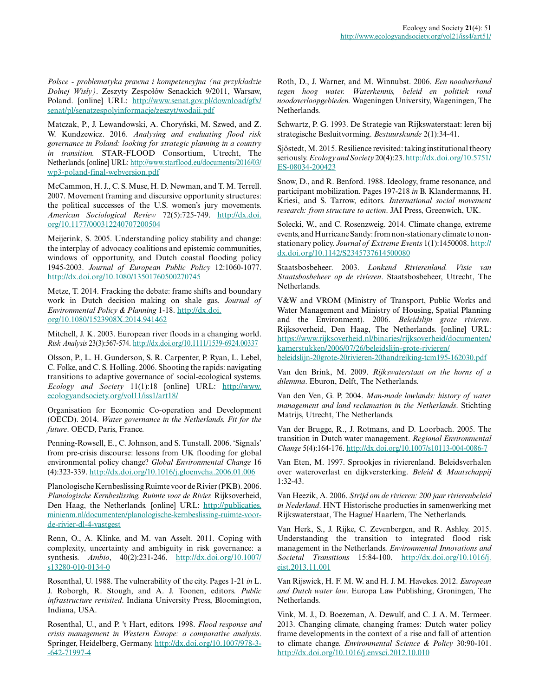*Polsce - problematyka prawna i kompetencyjna (na przykładzie Dolnej Wisły)*. Zeszyty Zespołów Senackich 9/2011, Warsaw, Poland. [online] URL: [http://www.senat.gov.pl/download/gfx/](http://www.senat.gov.pl/download/gfx/senat/pl/senatzespolyinformacje/zeszyt/wodaii.pdf) [senat/pl/senatzespolyinformacje/zeszyt/wodaii.pdf](http://www.senat.gov.pl/download/gfx/senat/pl/senatzespolyinformacje/zeszyt/wodaii.pdf)

Matczak, P., J. Lewandowski, A. Choryński, M. Szwed, and Z. W. Kundzewicz. 2016. *Analysing and evaluating flood risk governance in Poland: looking for strategic planning in a country in transition.* STAR-FLOOD Consortium, Utrecht, The Netherlands. [online] URL: [http://www.starflood.eu/documents/2016/03/](http://www.starflood.eu/documents/2016/03/wp3-poland-final-webversion.pdf) [wp3-poland-final-webversion.pdf](http://www.starflood.eu/documents/2016/03/wp3-poland-final-webversion.pdf)

McCammon, H. J., C. S. Muse, H. D. Newman, and T. M. Terrell. 2007. Movement framing and discursive opportunity structures: the political successes of the U.S. women's jury movements. *American Sociological Review* 72(5):725-749. [http://dx.doi.](http://dx.doi.org/10.1177%2F000312240707200504) [org/10.1177/000312240707200504](http://dx.doi.org/10.1177%2F000312240707200504)

Meijerink, S. 2005. Understanding policy stability and change: the interplay of advocacy coalitions and epistemic communities, windows of opportunity, and Dutch coastal flooding policy 1945-2003. *Journal of European Public Policy* 12:1060-1077. [http://dx.doi.org/10.1080/13501760500270745](http://dx.doi.org/10.1080%2F13501760500270745) 

Metze, T. 2014. Fracking the debate: frame shifts and boundary work in Dutch decision making on shale gas. *Journal of Environmental Policy & Planning* 1-18. [http://dx.doi.](http://dx.doi.org/10.1080%2F1523908X.2014.941462) [org/10.1080/1523908X.2014.941462](http://dx.doi.org/10.1080%2F1523908X.2014.941462) 

Mitchell, J. K. 2003. European river floods in a changing world. *Risk Analysis* 23(3):567-574. [http://dx.doi.org/10.1111/1539-6924.00337](http://dx.doi.org/10.1111%2F1539-6924.00337)

Olsson, P., L. H. Gunderson, S. R. Carpenter, P. Ryan, L. Lebel, C. Folke, and C. S. Holling. 2006. Shooting the rapids: navigating transitions to adaptive governance of social-ecological systems. *Ecology and Society* 11(1):18 [online] URL: [http://www.](http://www.ecologyandsociety.org/vol11/iss1/art18/) [ecologyandsociety.org/vol11/iss1/art18/](http://www.ecologyandsociety.org/vol11/iss1/art18/)

Organisation for Economic Co-operation and Development (OECD). 2014. *Water governance in the Netherlands. Fit for the future*. OECD, Paris, France.

Penning-Rowsell, E., C. Johnson, and S. Tunstall. 2006. 'Signals' from pre-crisis discourse: lessons from UK flooding for global environmental policy change? *Global Environmental Change* 16 (4):323-339. [http://dx.doi.org/10.1016/j.gloenvcha.2006.01.006](http://dx.doi.org/10.1016%2Fj.gloenvcha.2006.01.006) 

Planologische Kernbeslissing Ruimte voor de Rivier (PKB). 2006. *Planologische Kernbeslissing. Ruimte voor de Rivier.* Rijksoverheid, Den Haag, the Netherlands. [online] URL: [http://publicaties.](http://publicaties.minienm.nl/documenten/planologische-kernbeslissing-ruimte-voor-de-rivier-dl-4-vastgest) [minienm.nl/documenten/planologische-kernbeslissing-ruimte-voor](http://publicaties.minienm.nl/documenten/planologische-kernbeslissing-ruimte-voor-de-rivier-dl-4-vastgest)[de-rivier-dl-4-vastgest](http://publicaties.minienm.nl/documenten/planologische-kernbeslissing-ruimte-voor-de-rivier-dl-4-vastgest) 

Renn, O., A. Klinke, and M. van Asselt. 2011. Coping with complexity, uncertainty and ambiguity in risk governance: a synthesis. *Ambio*, 40(2):231-246. [http://dx.doi.org/10.1007/](http://dx.doi.org/10.1007%2Fs13280-010-0134-0) [s13280-010-0134-0](http://dx.doi.org/10.1007%2Fs13280-010-0134-0) 

Rosenthal, U. 1988. The vulnerability of the city. Pages 1-21 *in* L. J. Roborgh, R. Stough, and A. J. Toonen, editors. *Public infrastructure revisited*. Indiana University Press, Bloomington, Indiana, USA.

Rosenthal, U., and P. 't Hart, editors. 1998. *Flood response and crisis management in Western Europe: a comparative analysis*. Springer, Heidelberg, Germany. [http://dx.doi.org/10.1007/978-3](http://dx.doi.org/10.1007%2F978-3-642-71997-4) [-642-71997-4](http://dx.doi.org/10.1007%2F978-3-642-71997-4)

Roth, D., J. Warner, and M. Winnubst. 2006. *Een noodverband tegen hoog water. Waterkennis, beleid en politiek rond noodoverloopgebieden.* Wageningen University, Wageningen, The Netherlands.

Schwartz, P. G. 1993. De Strategie van Rijkswaterstaat: leren bij strategische Besluitvorming. *Bestuurskunde* 2(1):34-41.

Sjöstedt, M. 2015. Resilience revisited: taking institutional theory seriously. *Ecology and Society* 20(4):23. [http://dx.doi.org/10.5751/](http://dx.doi.org/10.5751%2FES-08034-200423) [ES-08034-200423](http://dx.doi.org/10.5751%2FES-08034-200423)

Snow, D., and R. Benford. 1988. Ideology, frame resonance, and participant mobilization. Pages 197-218 *in* B. Klandermanns, H. Kriesi, and S. Tarrow, editors. *International social movement research: from structure to action*. JAI Press, Greenwich, UK.

Solecki, W., and C. Rosenzweig. 2014. Climate change, extreme events, and Hurricane Sandy: from non-stationary climate to nonstationary policy. *Journal of Extreme Events* 1(1):1450008. [http://](http://dx.doi.org/10.1142%2FS2345737614500080) [dx.doi.org/10.1142/S2345737614500080](http://dx.doi.org/10.1142%2FS2345737614500080) 

Staatsbosbeheer. 2003. *Lonkend Rivierenland. Visie van Staatsbosbeheer op de rivieren*. Staatsbosbeheer, Utrecht, The Netherlands.

V&W and VROM (Ministry of Transport, Public Works and Water Management and Ministry of Housing, Spatial Planning and the Environment). 2006. *Beleidslijn grote rivieren*. Rijksoverheid, Den Haag, The Netherlands. [online] URL: [https://www.rijksoverheid.nl/binaries/rijksoverheid/documenten/](https://www.rijksoverheid.nl/binaries/rijksoverheid/documenten/kamerstukken/2006/07/26/beleidslijn-grote-rivieren/beleidslijn-20grote-20rivieren-20handreiking-tcm195-162030.pdf) [kamerstukken/2006/07/26/beleidslijn-grote-rivieren/](https://www.rijksoverheid.nl/binaries/rijksoverheid/documenten/kamerstukken/2006/07/26/beleidslijn-grote-rivieren/beleidslijn-20grote-20rivieren-20handreiking-tcm195-162030.pdf) [beleidslijn-20grote-20rivieren-20handreiking-tcm195-162030.pdf](https://www.rijksoverheid.nl/binaries/rijksoverheid/documenten/kamerstukken/2006/07/26/beleidslijn-grote-rivieren/beleidslijn-20grote-20rivieren-20handreiking-tcm195-162030.pdf)

Van den Brink, M. 2009. *Rijkswaterstaat on the horns of a*

*dilemma*. Eburon, Delft, The Netherlands. Van den Ven, G. P. 2004. *Man-made lowlands: history of water*

*management and land reclamation in the Netherlands*. Stichting Matrijs, Utrecht, The Netherlands.

Van der Brugge, R., J. Rotmans, and D. Loorbach. 2005. The transition in Dutch water management. *Regional Environmental Change* 5(4):164-176. [http://dx.doi.org/10.1007/s10113-004-0086-7](http://dx.doi.org/10.1007%2Fs10113-004-0086-7) 

Van Eten, M. 1997. Sprookjes in rivierenland. Beleidsverhalen over wateroverlast en dijkversterking. *Beleid & Maatschappij*  $1.32 - 43$ 

Van Heezik, A. 2006. *Strijd om de rivieren: 200 jaar rivierenbeleid in Nederland*. HNT Historische producties in samenwerking met Rijkswaterstaat, The Hague/ Haarlem, The Netherlands.

Van Herk, S., J. Rijke, C. Zevenbergen, and R. Ashley. 2015. Understanding the transition to integrated flood risk management in the Netherlands. *Environmental Innovations and Societal Transitions* 15:84-100. [http://dx.doi.org/10.1016/j.](http://dx.doi.org/10.1016%2Fj.eist.2013.11.001) [eist.2013.11.001](http://dx.doi.org/10.1016%2Fj.eist.2013.11.001) 

Van Rijswick, H. F. M. W. and H. J. M. Havekes. 2012. *European and Dutch water law*. Europa Law Publishing, Groningen, The Netherlands.

Vink, M. J., D. Boezeman, A. Dewulf, and C. J. A. M. Termeer. 2013. Changing climate, changing frames: Dutch water policy frame developments in the context of a rise and fall of attention to climate change. *Environmental Science & Policy* 30:90-101. [http://dx.doi.org/10.1016/j.envsci.2012.10.010](http://dx.doi.org/10.1016%2Fj.envsci.2012.10.010)